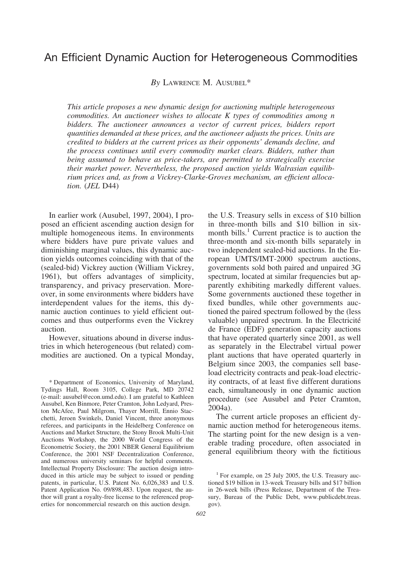# An Efficient Dynamic Auction for Heterogeneous Commodities

*By* LAWRENCE M. AUSUBEL\*

*This article proposes a new dynamic design for auctioning multiple heterogeneous commodities. An auctioneer wishes to allocate K types of commodities among n bidders. The auctioneer announces a vector of current prices, bidders report quantities demanded at these prices, and the auctioneer adjusts the prices. Units are credited to bidders at the current prices as their opponents' demands decline, and the process continues until every commodity market clears. Bidders, rather than being assumed to behave as price-takers, are permitted to strategically exercise their market power. Nevertheless, the proposed auction yields Walrasian equilibrium prices and, as from a Vickrey-Clarke-Groves mechanism, an efficient allocation.* (*JEL* D44)

In earlier work (Ausubel, 1997, 2004), I proposed an efficient ascending auction design for multiple homogeneous items. In environments where bidders have pure private values and diminishing marginal values, this dynamic auction yields outcomes coinciding with that of the (sealed-bid) Vickrey auction (William Vickrey, 1961), but offers advantages of simplicity, transparency, and privacy preservation. Moreover, in some environments where bidders have interdependent values for the items, this dynamic auction continues to yield efficient outcomes and thus outperforms even the Vickrey auction.

However, situations abound in diverse industries in which heterogeneous (but related) commodities are auctioned. On a typical Monday,

\* Department of Economics, University of Maryland, Tydings Hall, Room 3105, College Park, MD 20742 (e-mail: ausubel@econ.umd.edu). I am grateful to Kathleen Ausubel, Ken Binmore, Peter Cramton, John Ledyard, Preston McAfee, Paul Milgrom, Thayer Morrill, Ennio Stacchetti, Jeroen Swinkels, Daniel Vincent, three anonymous referees, and participants in the Heidelberg Conference on Auctions and Market Structure, the Stony Brook Multi-Unit Auctions Workshop, the 2000 World Congress of the Econometric Society, the 2001 NBER General Equilibrium Conference, the 2001 NSF Decentralization Conference, and numerous university seminars for helpful comments. Intellectual Property Disclosure: The auction design introduced in this article may be subject to issued or pending patents, in particular, U.S. Patent No. 6,026,383 and U.S. Patent Application No. 09/898,483. Upon request, the author will grant a royalty-free license to the referenced properties for noncommercial research on this auction design.

the U.S. Treasury sells in excess of \$10 billion in three-month bills and \$10 billion in sixmonth bills. $\frac{1}{1}$  Current practice is to auction the three-month and six-month bills separately in two independent sealed-bid auctions. In the European UMTS/IMT-2000 spectrum auctions, governments sold both paired and unpaired 3G spectrum, located at similar frequencies but apparently exhibiting markedly different values. Some governments auctioned these together in fixed bundles, while other governments auctioned the paired spectrum followed by the (less valuable) unpaired spectrum. In the Electricité de France (EDF) generation capacity auctions that have operated quarterly since 2001, as well as separately in the Electrabel virtual power plant auctions that have operated quarterly in Belgium since 2003, the companies sell baseload electricity contracts and peak-load electricity contracts, of at least five different durations each, simultaneously in one dynamic auction procedure (see Ausubel and Peter Cramton, 2004a).

The current article proposes an efficient dynamic auction method for heterogeneous items. The starting point for the new design is a venerable trading procedure, often associated in general equilibrium theory with the fictitious

<sup>1</sup> For example, on 25 July 2005, the U.S. Treasury auctioned \$19 billion in 13-week Treasury bills and \$17 billion in 26-week bills (Press Release, Department of the Treasury, Bureau of the Public Debt, www.publicdebt.treas. gov).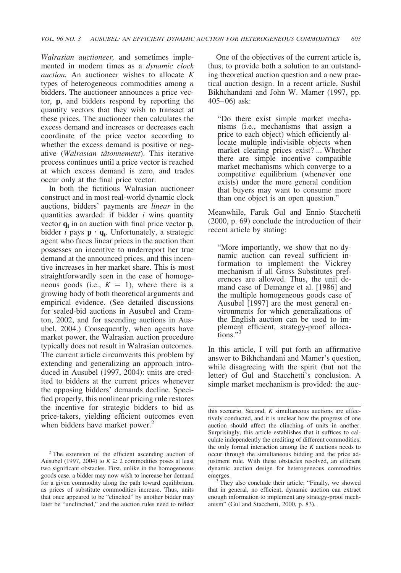*Walrasian auctioneer,* and sometimes implemented in modern times as a *dynamic clock auction.* An auctioneer wishes to allocate *K* types of heterogeneous commodities among *n* bidders. The auctioneer announces a price vector, **p**, and bidders respond by reporting the quantity vectors that they wish to transact at these prices. The auctioneer then calculates the excess demand and increases or decreases each coordinate of the price vector according to whether the excess demand is positive or negative (*Walrasian taˆtonnement*). This iterative process continues until a price vector is reached at which excess demand is zero, and trades occur only at the final price vector.

In both the fictitious Walrasian auctioneer construct and in most real-world dynamic clock auctions, bidders' payments are *linear* in the quantities awarded: if bidder *i* wins quantity vector  $q_i$  in an auction with final price vector  $p_i$ , bidder *i* pays  $\mathbf{p} \cdot \mathbf{q_i}$ . Unfortunately, a strategic agent who faces linear prices in the auction then possesses an incentive to underreport her true demand at the announced prices, and this incentive increases in her market share. This is most straightforwardly seen in the case of homogeneous goods (i.e.,  $K = 1$ ), where there is a growing body of both theoretical arguments and empirical evidence. (See detailed discussions for sealed-bid auctions in Ausubel and Cramton, 2002, and for ascending auctions in Ausubel, 2004.) Consequently, when agents have market power, the Walrasian auction procedure typically does not result in Walrasian outcomes. The current article circumvents this problem by extending and generalizing an approach introduced in Ausubel (1997, 2004): units are credited to bidders at the current prices whenever the opposing bidders' demands decline. Specified properly, this nonlinear pricing rule restores the incentive for strategic bidders to bid as price-takers, yielding efficient outcomes even when bidders have market power.<sup>2</sup>

One of the objectives of the current article is, thus, to provide both a solution to an outstanding theoretical auction question and a new practical auction design. In a recent article, Sushil Bikhchandani and John W. Mamer (1997, pp. 405– 06) ask:

"Do there exist simple market mechanisms (i.e., mechanisms that assign a price to each object) which efficiently allocate multiple indivisible objects when market clearing prices exist? ... Whether there are simple incentive compatible market mechanisms which converge to a competitive equilibrium (whenever one exists) under the more general condition that buyers may want to consume more than one object is an open question."

Meanwhile, Faruk Gul and Ennio Stacchetti (2000, p. 69) conclude the introduction of their recent article by stating:

"More importantly, we show that no dynamic auction can reveal sufficient information to implement the Vickrey mechanism if all Gross Substitutes preferences are allowed. Thus, the unit demand case of Demange et al. [1986] and the multiple homogeneous goods case of Ausubel [1997] are the most general environments for which generalizations of the English auction can be used to implement efficient, strategy-proof allocations."3

In this article, I will put forth an affirmative answer to Bikhchandani and Mamer's question, while disagreeing with the spirit (but not the letter) of Gul and Stacchetti's conclusion. A simple market mechanism is provided: the auc-

<sup>2</sup> The extension of the efficient ascending auction of Ausubel (1997, 2004) to  $K \ge 2$  commodities poses at least two significant obstacles. First, unlike in the homogeneous goods case, a bidder may now wish to increase her demand for a given commodity along the path toward equilibrium, as prices of substitute commodities increase. Thus, units that once appeared to be "clinched" by another bidder may later be "unclinched," and the auction rules need to reflect

this scenario. Second, *K* simultaneous auctions are effectively conducted, and it is unclear how the progress of one auction should affect the clinching of units in another. Surprisingly, this article establishes that it suffices to calculate independently the crediting of different commodities; the only formal interaction among the *K* auctions needs to occur through the simultaneous bidding and the price adjustment rule. With these obstacles resolved, an efficient dynamic auction design for heterogeneous commodities emerges.<br><sup>3</sup> They also conclude their article: "Finally, we showed

that in general, no efficient, dynamic auction can extract enough information to implement any strategy-proof mechanism" (Gul and Stacchetti, 2000, p. 83).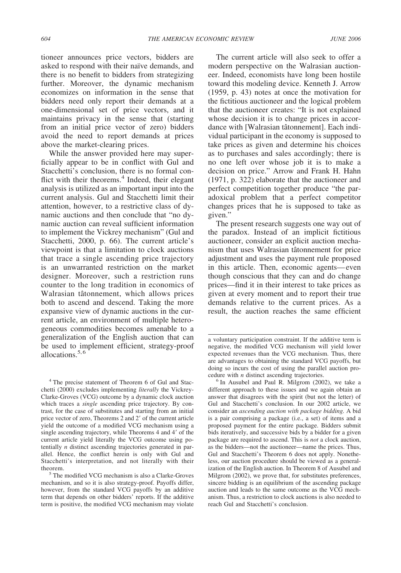tioneer announces price vectors, bidders are asked to respond with their naïve demands, and there is no benefit to bidders from strategizing further. Moreover, the dynamic mechanism economizes on information in the sense that bidders need only report their demands at a one-dimensional set of price vectors, and it maintains privacy in the sense that (starting from an initial price vector of zero) bidders avoid the need to report demands at prices above the market-clearing prices.

While the answer provided here may superficially appear to be in conflict with Gul and Stacchetti's conclusion, there is no formal conflict with their theorems.<sup>4</sup> Indeed, their elegant analysis is utilized as an important input into the current analysis. Gul and Stacchetti limit their attention, however, to a restrictive class of dynamic auctions and then conclude that "no dynamic auction can reveal sufficient information to implement the Vickrey mechanism" (Gul and Stacchetti, 2000, p. 66). The current article's viewpoint is that a limitation to clock auctions that trace a single ascending price trajectory is an unwarranted restriction on the market designer. Moreover, such a restriction runs counter to the long tradition in economics of Walrasian tâtonnement, which allows prices both to ascend and descend. Taking the more expansive view of dynamic auctions in the current article, an environment of multiple heterogeneous commodities becomes amenable to a generalization of the English auction that can be used to implement efficient, strategy-proof allocations. $5, 6$ 

The current article will also seek to offer a modern perspective on the Walrasian auctioneer. Indeed, economists have long been hostile toward this modeling device. Kenneth J. Arrow (1959, p. 43) notes at once the motivation for the fictitious auctioneer and the logical problem that the auctioneer creates: "It is not explained whose decision it is to change prices in accordance with [Walrasian tâtonnement]. Each individual participant in the economy is supposed to take prices as given and determine his choices as to purchases and sales accordingly; there is no one left over whose job it is to make a decision on price." Arrow and Frank H. Hahn (1971, p. 322) elaborate that the auctioneer and perfect competition together produce "the paradoxical problem that a perfect competitor changes prices that he is supposed to take as given."

The present research suggests one way out of the paradox. Instead of an implicit fictitious auctioneer, consider an explicit auction mechanism that uses Walrasian tâtonnement for price adjustment and uses the payment rule proposed in this article. Then, economic agents— even though conscious that they can and do change prices—find it in their interest to take prices as given at every moment and to report their true demands relative to the current prices. As a result, the auction reaches the same efficient

<sup>4</sup> The precise statement of Theorem 6 of Gul and Stacchetti (2000) excludes implementing *literally* the Vickrey-Clarke-Groves (VCG) outcome by a dynamic clock auction which traces a *single* ascending price trajectory. By contrast, for the case of substitutes and starting from an initial price vector of zero, Theorems 2 and 2' of the current article yield the outcome of a modified VCG mechanism using a single ascending trajectory, while Theorems 4 and 4' of the current article yield literally the VCG outcome using potentially *n* distinct ascending trajectories generated in parallel. Hence, the conflict herein is only with Gul and Stacchetti's interpretation, and not literally with their theorem. <sup>5</sup> The modified VCG mechanism is also a Clarke-Groves

mechanism, and so it is also strategy-proof. Payoffs differ, however, from the standard VCG payoffs by an additive term that depends on other bidders' reports. If the additive term is positive, the modified VCG mechanism may violate

a voluntary participation constraint. If the additive term is negative, the modified VCG mechanism will yield lower expected revenues than the VCG mechanism. Thus, there are advantages to obtaining the standard VCG payoffs, but doing so incurs the cost of using the parallel auction procedure with *n* distinct ascending trajectories.<br><sup>6</sup> In Ausubel and Paul R. Milgrom (2002), we take a

different approach to these issues and we again obtain an answer that disagrees with the spirit (but not the letter) of Gul and Stacchetti's conclusion. In our 2002 article, we consider an *ascending auction with package bidding.* A bid is a pair comprising a package (i.e., a set) of items and a proposed payment for the entire package. Bidders submit bids iteratively, and successive bids by a bidder for a given package are required to ascend. This is *not* a clock auction, as the bidders—not the auctioneer—name the prices. Thus, Gul and Stacchetti's Theorem 6 does not apply. Nonetheless, our auction procedure should be viewed as a generalization of the English auction. In Theorem 8 of Ausubel and Milgrom (2002), we prove that, for substitutes preferences, sincere bidding is an equilibrium of the ascending package auction and leads to the same outcome as the VCG mechanism. Thus, a restriction to clock auctions is also needed to reach Gul and Stacchetti's conclusion.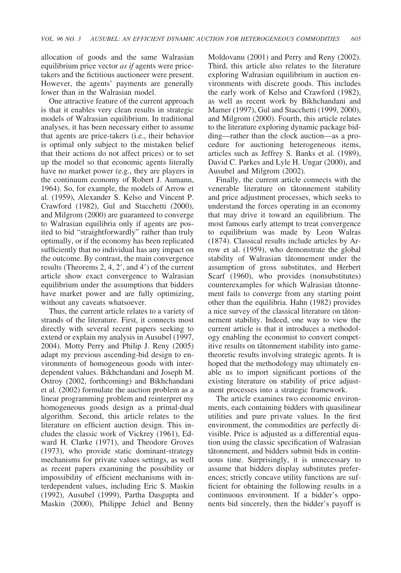allocation of goods and the same Walrasian equilibrium price vector *as if* agents were pricetakers and the fictitious auctioneer were present. However, the agents' payments are generally lower than in the Walrasian model.

One attractive feature of the current approach is that it enables very clean results in strategic models of Walrasian equilibrium. In traditional analyses, it has been necessary either to assume that agents are price-takers (i.e., their behavior is optimal only subject to the mistaken belief that their actions do not affect prices) or to set up the model so that economic agents literally have no market power (e.g., they are players in the continuum economy of Robert J. Aumann, 1964). So, for example, the models of Arrow et al. (1959), Alexander S. Kelso and Vincent P. Crawford (1982), Gul and Stacchetti (2000), and Milgrom (2000) are guaranteed to converge to Walrasian equilibria only if agents are posited to bid "straightforwardly" rather than truly optimally, or if the economy has been replicated sufficiently that no individual has any impact on the outcome. By contrast, the main convergence results (Theorems 2, 4, 2', and 4') of the current article show exact convergence to Walrasian equilibrium under the assumptions that bidders have market power and are fully optimizing, without any caveats whatsoever.

Thus, the current article relates to a variety of strands of the literature. First, it connects most directly with several recent papers seeking to extend or explain my analysis in Ausubel (1997, 2004). Motty Perry and Philip J. Reny (2005) adapt my previous ascending-bid design to environments of homogeneous goods with interdependent values. Bikhchandani and Joseph M. Ostroy (2002, forthcoming) and Bikhchandani et al. (2002) formulate the auction problem as a linear programming problem and reinterpret my homogeneous goods design as a primal-dual algorithm. Second, this article relates to the literature on efficient auction design. This includes the classic work of Vickrey (1961), Edward H. Clarke (1971), and Theodore Groves (1973), who provide static dominant-strategy mechanisms for private values settings, as well as recent papers examining the possibility or impossibility of efficient mechanisms with interdependent values, including Eric S. Maskin (1992), Ausubel (1999), Partha Dasgupta and Maskin (2000), Philippe Jehiel and Benny

Moldovanu (2001) and Perry and Reny (2002). Third, this article also relates to the literature exploring Walrasian equilibrium in auction environments with discrete goods. This includes the early work of Kelso and Crawford (1982), as well as recent work by Bikhchandani and Mamer (1997), Gul and Stacchetti (1999, 2000), and Milgrom (2000). Fourth, this article relates to the literature exploring dynamic package bidding—rather than the clock auction—as a procedure for auctioning heterogeneous items, articles such as Jeffrey S. Banks et al. (1989), David C. Parkes and Lyle H. Ungar (2000), and Ausubel and Milgrom (2002).

Finally, the current article connects with the venerable literature on tâtonnement stability and price adjustment processes, which seeks to understand the forces operating in an economy that may drive it toward an equilibrium. The most famous early attempt to treat convergence to equilibrium was made by Leon Walras (1874). Classical results include articles by Arrow et al. (1959), who demonstrate the global stability of Walrasian tâtonnement under the assumption of gross substitutes, and Herbert Scarf (1960), who provides (nonsubstitutes) counterexamples for which Walrasian tâtonnement fails to converge from any starting point other than the equilibria. Hahn (1982) provides a nice survey of the classical literature on tâtonnement stability. Indeed, one way to view the current article is that it introduces a methodology enabling the economist to convert competitive results on tâtonnement stability into gametheoretic results involving strategic agents. It is hoped that the methodology may ultimately enable us to import significant portions of the existing literature on stability of price adjustment processes into a strategic framework.

The article examines two economic environments, each containing bidders with quasilinear utilities and pure private values. In the first environment, the commodities are perfectly divisible. Price is adjusted as a differential equation using the classic specification of Walrasian tâtonnement, and bidders submit bids in continuous time. Surprisingly, it is unnecessary to assume that bidders display substitutes preferences; strictly concave utility functions are sufficient for obtaining the following results in a continuous environment. If a bidder's opponents bid sincerely, then the bidder's payoff is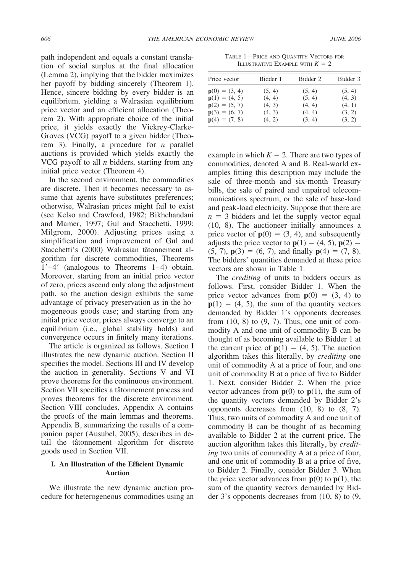path independent and equals a constant translation of social surplus at the final allocation (Lemma 2), implying that the bidder maximizes her payoff by bidding sincerely (Theorem 1). Hence, sincere bidding by every bidder is an equilibrium, yielding a Walrasian equilibrium price vector and an efficient allocation (Theorem 2). With appropriate choice of the initial price, it yields exactly the Vickrey-Clarke-Groves (VCG) payoff to a given bidder (Theorem 3). Finally, a procedure for *n* parallel auctions is provided which yields exactly the VCG payoff to all *n* bidders, starting from any initial price vector (Theorem 4).

In the second environment, the commodities are discrete. Then it becomes necessary to assume that agents have substitutes preferences; otherwise, Walrasian prices might fail to exist (see Kelso and Crawford, 1982; Bikhchandani and Mamer, 1997; Gul and Stacchetti, 1999; Milgrom, 2000). Adjusting prices using a simplification and improvement of Gul and Stacchetti's (2000) Walrasian tâtonnement algorithm for discrete commodities, Theorems 1'-4' (analogous to Theorems 1-4) obtain. Moreover, starting from an initial price vector of zero, prices ascend only along the adjustment path, so the auction design exhibits the same advantage of privacy preservation as in the homogeneous goods case; and starting from any initial price vector, prices always converge to an equilibrium (i.e., global stability holds) and convergence occurs in finitely many iterations.

The article is organized as follows. Section I illustrates the new dynamic auction. Section II specifies the model. Sections III and IV develop the auction in generality. Sections V and VI prove theorems for the continuous environment. Section VII specifies a tâtonnement process and proves theorems for the discrete environment. Section VIII concludes. Appendix A contains the proofs of the main lemmas and theorems. Appendix B, summarizing the results of a companion paper (Ausubel, 2005), describes in detail the tâtonnement algorithm for discrete goods used in Section VII.

#### **I. An Illustration of the Efficient Dynamic Auction**

We illustrate the new dynamic auction procedure for heterogeneous commodities using an

TABLE 1—PRICE AND QUANTITY VECTORS FOR ILLUSTRATIVE EXAMPLE WITH  $K = 2$ 

| Bidder 1<br>Bidder 2<br>Price vector<br>$p(0) = (3, 4)$<br>(5, 4)<br>(5, 4)<br>(5, 4)<br>$p(1) = (4, 5)$<br>(4, 3)<br>(5, 4)<br>(4, 4)<br>$p(2) = (5, 7)$<br>(4, 3)<br>(4, 4)<br>(4, 1)<br>$p(3) = (6, 7)$<br>(4, 3)<br>(3, 2)<br>(4, 4) |                 |        |        |          |
|------------------------------------------------------------------------------------------------------------------------------------------------------------------------------------------------------------------------------------------|-----------------|--------|--------|----------|
|                                                                                                                                                                                                                                          |                 |        |        | Bidder 3 |
|                                                                                                                                                                                                                                          | $p(4) = (7, 8)$ | (4, 2) | (3, 4) | (3, 2)   |

example in which  $K = 2$ . There are two types of commodities, denoted A and B. Real-world examples fitting this description may include the sale of three-month and six-month Treasury bills, the sale of paired and unpaired telecommunications spectrum, or the sale of base-load and peak-load electricity. Suppose that there are  $n = 3$  bidders and let the supply vector equal (10, 8). The auctioneer initially announces a price vector of  $p(0) = (3, 4)$ , and subsequently adjusts the price vector to  $p(1) = (4, 5)$ ,  $p(2) =$  $(5, 7)$ ,  $\mathbf{p}(3) = (6, 7)$ , and finally  $\mathbf{p}(4) = (7, 8)$ . The bidders' quantities demanded at these price vectors are shown in Table 1.

The *crediting* of units to bidders occurs as follows. First, consider Bidder 1. When the price vector advances from  $p(0) = (3, 4)$  to  $p(1) = (4, 5)$ , the sum of the quantity vectors demanded by Bidder 1's opponents decreases from  $(10, 8)$  to  $(9, 7)$ . Thus, one unit of commodity A and one unit of commodity B can be thought of as becoming available to Bidder 1 at the current price of  $p(1) = (4, 5)$ . The auction algorithm takes this literally, by *crediting* one unit of commodity A at a price of four, and one unit of commodity B at a price of five to Bidder 1. Next, consider Bidder 2. When the price vector advances from  $p(0)$  to  $p(1)$ , the sum of the quantity vectors demanded by Bidder 2's opponents decreases from (10, 8) to (8, 7). Thus, two units of commodity A and one unit of commodity B can be thought of as becoming available to Bidder 2 at the current price. The auction algorithm takes this literally, by *crediting* two units of commodity A at a price of four, and one unit of commodity B at a price of five, to Bidder 2. Finally, consider Bidder 3. When the price vector advances from  $p(0)$  to  $p(1)$ , the sum of the quantity vectors demanded by Bidder 3's opponents decreases from (10, 8) to (9,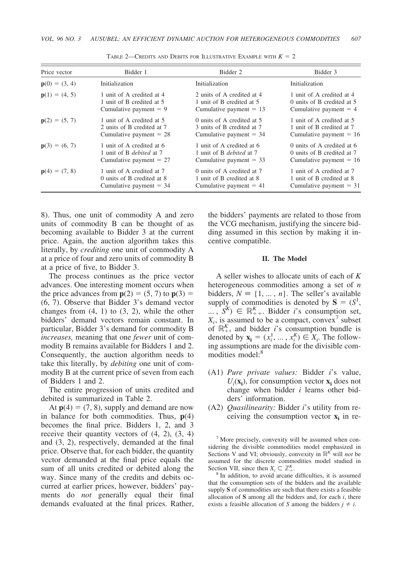| Price vector    | Bidder 1                        | Bidder 2                        | Bidder 3                   |
|-----------------|---------------------------------|---------------------------------|----------------------------|
| $p(0) = (3, 4)$ | Initialization                  | Initialization                  | Initialization             |
| $p(1) = (4, 5)$ | 1 unit of A credited at 4       | 2 units of A credited at 4      | 1 unit of A credited at 4  |
|                 | 1 unit of B credited at 5       | 1 unit of B credited at 5       | 0 units of B credited at 5 |
|                 | Cumulative payment $= 9$        | Cumulative payment $= 13$       | Cumulative payment $= 4$   |
| $p(2) = (5, 7)$ | 1 unit of A credited at 5       | 0 units of A credited at 5      | 1 unit of A credited at 5  |
|                 | 2 units of B credited at 7      | 3 units of B credited at 7      | 1 unit of B credited at 7  |
|                 | Cumulative payment $= 28$       | Cumulative payment $=$ 34       | Cumulative payment $= 16$  |
| $p(3) = (6, 7)$ | 1 unit of A credited at 6       | 1 unit of A credited at 6       | 0 units of A credited at 6 |
|                 | 1 unit of B <i>debited</i> at 7 | 1 unit of B <i>debited</i> at 7 | 0 units of B credited at 7 |
|                 | Cumulative payment $= 27$       | Cumulative payment $=$ 33       | Cumulative payment $= 16$  |
| $p(4) = (7, 8)$ | 1 unit of A credited at 7       | 0 units of A credited at 7      | 1 unit of A credited at 7  |
|                 | 0 units of B credited at 8      | 1 unit of B credited at 8       | 1 unit of B credited at 8  |
|                 | Cumulative payment $=$ 34       | Cumulative payment $= 41$       | Cumulative payment $= 31$  |

TABLE 2—CREDITS AND DEBITS FOR ILLUSTRATIVE EXAMPLE WITH  $K = 2$ 

8). Thus, one unit of commodity A and zero units of commodity B can be thought of as becoming available to Bidder 3 at the current price. Again, the auction algorithm takes this literally, by *crediting* one unit of commodity A at a price of four and zero units of commodity B at a price of five, to Bidder 3.

The process continues as the price vector advances. One interesting moment occurs when the price advances from  $p(2) = (5, 7)$  to  $p(3) =$ (6, 7). Observe that Bidder 3's demand vector changes from  $(4, 1)$  to  $(3, 2)$ , while the other bidders' demand vectors remain constant. In particular, Bidder 3's demand for commodity B *increases,* meaning that one *fewer* unit of commodity B remains available for Bidders 1 and 2. Consequently, the auction algorithm needs to take this literally, by *debiting* one unit of commodity B at the current price of seven from each of Bidders 1 and 2.

The entire progression of units credited and debited is summarized in Table 2.

At  $p(4) = (7, 8)$ , supply and demand are now in balance for both commodities. Thus, **p**(4) becomes the final price. Bidders 1, 2, and 3 receive their quantity vectors of  $(4, 2)$ ,  $(3, 4)$ and (3, 2), respectively, demanded at the final price. Observe that, for each bidder, the quantity vector demanded at the final price equals the sum of all units credited or debited along the way. Since many of the credits and debits occurred at earlier prices, however, bidders' payments do *not* generally equal their final demands evaluated at the final prices. Rather, the bidders' payments are related to those from the VCG mechanism, justifying the sincere bidding assumed in this section by making it incentive compatible.

# **II. The Model**

A seller wishes to allocate units of each of *K* heterogeneous commodities among a set of *n* bidders,  $N \equiv \{1, ..., n\}$ . The seller's available supply of commodities is denoted by  $S = (S^1,$  $...$ ,  $S^{K}$ )  $\in \mathbb{R}_{++}^{K}$ . Bidder *i*'s consumption set,  $X_i$ , is assumed to be a compact, convex<sup>7</sup> subset of  $\mathbb{R}^K_+$ , and bidder *i*'s consumption bundle is denoted by  $\mathbf{x}_i = (x_i^1, \dots, x_i^K) \in X_i$ . The following assumptions are made for the divisible commodities model:<sup>8</sup>

- (A1) *Pure private values:* Bidder *i*'s value,  $U_i(\mathbf{x_i})$ , for consumption vector  $\mathbf{x_i}$  does not change when bidder *i* learns other bidders' information.
- (A2) *Quasilinearity:* Bidder *i*'s utility from receiving the consumption vector  $\mathbf{x}_i$  in re-

 $7$  More precisely, convexity will be assumed when considering the divisible commodities model emphasized in Sections V and VI; obviously, convexity in  $\mathbb{R}^k$  will *not* be assumed for the discrete commodities model studied in Section VII, since then  $X_i \subset \mathbb{Z}_+^K$ 

<sup>8</sup> In addition, to avoid arcane difficulties, it is assumed that the consumption sets of the bidders and the available supply **S** of commodities are such that there exists a feasible allocation of **S** among all the bidders and, for each *i*, there exists a feasible allocation of *S* among the bidders  $j \neq i$ .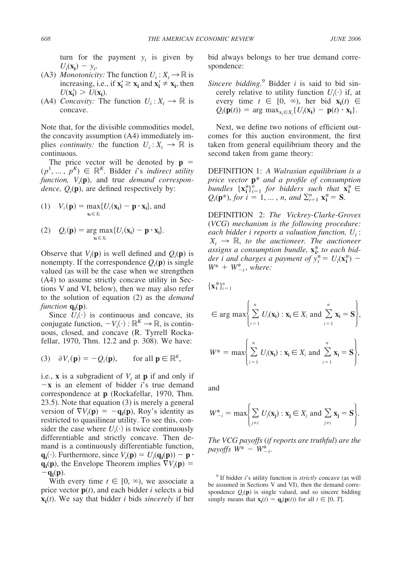turn for the payment  $y_i$  is given by  $U_i(\mathbf{x_i}) - y_i$ .

- (A3) *Monotonicity:* The function  $U_i: X_i \to \mathbb{R}$  is increasing, i.e., if  $\mathbf{x'_i} \geq \mathbf{x_i}$  and  $\mathbf{x'_i} \neq \mathbf{x_i}$ , then  $U(\mathbf{x_i'}) > U(\mathbf{x_i}).$
- (A4) *Concavity:* The function  $U_i: X_i \to \mathbb{R}$  is concave.

Note that, for the divisible commodities model, the concavity assumption (A4) immediately implies *continuity:* the function  $U_i: X_i \to \mathbb{R}$  is continuous.

The price vector will be denoted by  $p =$  $(p^1, \ldots, p^K) \in \mathbb{R}^K$ . Bidder *i*'s *indirect utility function, Vi* (**p**), and true *demand correspondence,*  $Q_i(\mathbf{p})$ , are defined respectively by:

(1) 
$$
V_i(\mathbf{p}) = \max_{\mathbf{x_i} \in X_i} \{ U_i(\mathbf{x_i}) - \mathbf{p} \cdot \mathbf{x_i} \}
$$
, and

(2) 
$$
Q_i(\mathbf{p}) = \underset{\mathbf{x_i} \in X_i}{\arg \max} \{ U_i(\mathbf{x_i}) - \mathbf{p} \cdot \mathbf{x_i} \}.
$$

Observe that  $V_i(\mathbf{p})$  is well defined and  $Q_i(\mathbf{p})$  is nonempty. If the correspondence  $Q_i(\mathbf{p})$  is single valued (as will be the case when we strengthen (A4) to assume strictly concave utility in Sections V and VI, below), then we may also refer to the solution of equation (2) as the *demand function* **qi** (**p**).

Since  $U_i(\cdot)$  is continuous and concave, its conjugate function,  $-V_i(\cdot): \mathbb{R}^K \to \mathbb{R}$ , is continuous, closed, and concave (R. Tyrrell Rockafellar, 1970, Thm. 12.2 and p. 308). We have:

(3) 
$$
\partial V_i(\mathbf{p}) = -Q_i(\mathbf{p})
$$
, for all  $\mathbf{p} \in \mathbb{R}^K$ ,

i.e., **x** is a subgradient of  $V_i$  at **p** if and only if  $-x$  is an element of bidder *i*'s true demand correspondence at **p** (Rockafellar, 1970, Thm. 23.5). Note that equation (3) is merely a general version of  $\nabla V_i(\mathbf{p}) = -\mathbf{q_i}(\mathbf{p})$ , Roy's identity as restricted to quasilinear utility. To see this, consider the case where  $U_i(\cdot)$  is twice continuously differentiable and strictly concave. Then demand is a continuously differentiable function,  $\mathbf{q_i}(\cdot)$ . Furthermore, since  $V_i(\mathbf{p}) = U_i(\mathbf{q_i}(\mathbf{p})) - \mathbf{p}$ .  $q_i(p)$ , the Envelope Theorem implies  $\nabla V_i(p)$  =  $-q_i(p)$ .

With every time  $t \in [0, \infty)$ , we associate a price vector  $p(t)$ , and each bidder *i* selects a bid **xi** (*t*). We say that bidder *i* bids *sincerely* if her

bid always belongs to her true demand correspondence:

*Sincere bidding.*<sup>9</sup> Bidder *i* is said to bid sincerely relative to utility function  $U_i(\cdot)$  if, at every time  $t \in [0, \infty)$ , her bid  $\mathbf{x}_i(t) \in$  $Q_i(\mathbf{p}(t)) = \arg \max_{\mathbf{x}_i \in X_i} \{ U_i(\mathbf{x_i}) - \mathbf{p}(t) \cdot \mathbf{x_i} \}.$ 

Next, we define two notions of efficient outcomes for this auction environment, the first taken from general equilibrium theory and the second taken from game theory:

DEFINITION 1: *A Walrasian equilibrium is a price vector* **p**\* *and a profile of consumption bundles*  $\{x_i^*\}_{i=1}^n$  *for bidders such that*  $x_i^* \in$  $Q_i(\mathbf{p}^*)$ , *for*  $i = 1, ..., n$ , *and*  $\sum_{i=1}^n \mathbf{x}_i^* = \mathbf{S}$ .

DEFINITION 2: *The Vickrey-Clarke-Groves* (*VCG*) *mechanism is the following procedure: each bidder i reports a valuation function,*  $U_i$ *:*  $X_i \rightarrow \mathbb{R}$ , to the auctioneer. The auctioneer *assigns a consumption bundle,* **x**\***<sup>i</sup>** , *to each bidder i and charges a payment of*  $y_i^* = U_i(\mathbf{x_i^*})$  –  $W^* + W^*_{-i}$ , *where:* 

$$
\{\mathbf x_i^*\}_{i=1}^n
$$

$$
\in \arg \max \Biggl\{ \sum_{i=1}^{n} U_{i}(\mathbf{x}_{i}) : \mathbf{x}_{i} \in X_{i} \text{ and } \sum_{i=1}^{n} \mathbf{x}_{i} = \mathbf{S} \Biggr\},\
$$
  

$$
W^{*} = \max \Biggl\{ \sum_{i=1}^{n} U_{i}(\mathbf{x}_{i}) : \mathbf{x}_{i} \in X_{i} \text{ and } \sum_{i=1}^{n} \mathbf{x}_{i} = \mathbf{S} \Biggr\},\
$$

and

$$
W_{-i}^* = \max \bigg\{ \sum_{j \neq i} U_j(\mathbf{x_j}) : \mathbf{x_j} \in X_j \text{ and } \sum_{j \neq i} \mathbf{x_j} = \mathbf{S} \bigg\}.
$$

*The VCG payoffs* (*if reports are truthful*) *are the payoffs*  $W^* - W^*_{-i}$ .

<sup>9</sup> If bidder *i*'s utility function is *strictly* concave (as will be assumed in Sections V and VI), then the demand correspondence  $Q_i(\mathbf{p})$  is single valued, and so sincere bidding simply means that  $\mathbf{x}_i(t) = \mathbf{q}_i(\mathbf{p}(t))$  for all  $t \in [0, T]$ .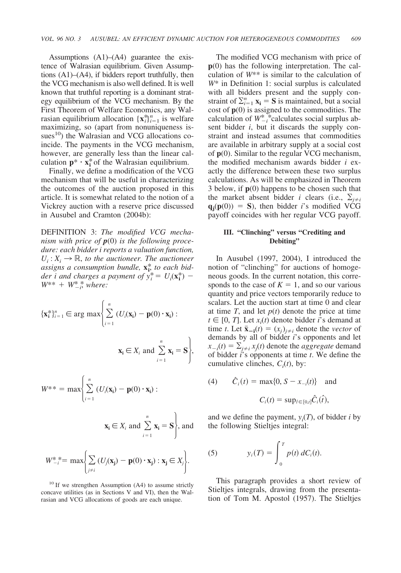Assumptions  $(A1)$ – $(A4)$  guarantee the existence of Walrasian equilibrium. Given Assumptions (A1)–(A4), if bidders report truthfully, then the VCG mechanism is also well defined. It is well known that truthful reporting is a dominant strategy equilibrium of the VCG mechanism. By the First Theorem of Welfare Economics, any Walrasian equilibrium allocation  $\{x_i^*\}_{i=1}^n$  is welfare maximizing, so (apart from nonuniqueness issues<sup>10</sup>) the Walrasian and VCG allocations coincide. The payments in the VCG mechanism, however, are generally less than the linear calculation  $\mathbf{p}^* \cdot \mathbf{x}_i^*$  of the Walrasian equilibrium.

Finally, we define a modification of the VCG mechanism that will be useful in characterizing the outcomes of the auction proposed in this article. It is somewhat related to the notion of a Vickrey auction with a reserve price discussed in Ausubel and Cramton (2004b):

DEFINITION 3: *The modified VCG mechanism with price of p*(0) *is the following procedure: each bidder i reports a valuation function,*  $U_i: X_i \to \mathbb{R}$ , to the auctioneer. The auctioneer *assigns a consumption bundle,* **x**\***<sup>i</sup>** , *to each bidder i and charges a payment of*  $y_i^* = U_i(\mathbf{x_i^*})$  –  $W^{**} + W^{**}_{-i}$ , *where:* 

$$
\{\mathbf{x}_i^*\}_{i=1}^n \in \arg \max \left\{ \sum_{i=1}^n \left( U_i(\mathbf{x}_i) - \mathbf{p}(0) \cdot \mathbf{x}_i \right) : \right.
$$

$$
\mathbf{x}_i \in X_i \text{ and } \sum_{i=1}^n \mathbf{x}_i = \mathbf{S} \right\},
$$

$$
W^{**} = \max \left\{ \sum_{i=1}^n \left( U_i(\mathbf{x_i}) - \mathbf{p}(0) \cdot \mathbf{x_i} \right) :
$$

$$
\mathbf{x_i} \in X_i
$$
 and  $\sum_{i=1}^n \mathbf{x_i} = \mathbf{S}$ , and

 $\lambda$ 

$$
W_{-i}^{*} = \max \bigg\{ \sum_{j \neq i} (U_j(\mathbf{x_j}) - \mathbf{p}(0) \cdot \mathbf{x_j}) : \mathbf{x_j} \in X_j \bigg\}.
$$

 $10$  If we strengthen Assumption (A4) to assume strictly concave utilities (as in Sections V and VI), then the Walrasian and VCG allocations of goods are each unique.

The modified VCG mechanism with price of **p**(0) has the following interpretation. The calculation of *W*\*\* is similar to the calculation of *W*\* in Definition 1: social surplus is calculated with all bidders present and the supply constraint of  $\sum_{i=1}^{n}$  **x**<sub>i</sub> = **S** is maintained, but a social cost of **p**(0) is assigned to the commodities. The calculation of  $W_{-i}^*$  calculates social surplus absent bidder *i*, but it discards the supply constraint and instead assumes that commodities are available in arbitrary supply at a social cost of **p**(0). Similar to the regular VCG mechanism, the modified mechanism awards bidder *i* exactly the difference between these two surplus calculations. As will be emphasized in Theorem 3 below, if **p**(0) happens to be chosen such that the market absent bidder *i* clears (i.e.,  $\Sigma_{i \neq j}$  $q_j(p(0)) = S$ ), then bidder *i*'s modified VCG payoff coincides with her regular VCG payoff.

#### **III. "Clinching" versus "Crediting and Debiting"**

In Ausubel (1997, 2004), I introduced the notion of "clinching" for auctions of homogeneous goods. In the current notation, this corresponds to the case of  $K = 1$ , and so our various quantity and price vectors temporarily reduce to scalars. Let the auction start at time 0 and clear at time  $T$ , and let  $p(t)$  denote the price at time  $t \in [0, T]$ . Let  $x_i(t)$  denote bidder *i*'s demand at time *t*. Let  $\bar{\mathbf{x}}_{-i}(t) = (x_j)_{j \neq i}$  denote the *vector* of demands by all of bidder *i*'s opponents and let  $x_{i}(t) = \sum_{j \neq i}^{t} x_j(t)$  denote the *aggregate* demand of bidder *i*'s opponents at time *t*. We define the cumulative clinches,  $C_i(t)$ , by:

(4) 
$$
\hat{C}_i(t) = \max\{0, S - x_{-i}(t)\}\
$$
 and  

$$
C_i(t) = \sup_{\hat{i} \in [0, i]} \hat{C}_i(\hat{i}),
$$

and we define the payment,  $y_i(T)$ , of bidder *i* by the following Stieltjes integral:

(5) 
$$
y_i(T) = \int_0^T p(t) dC_i(t).
$$

This paragraph provides a short review of Stieltjes integrals, drawing from the presentation of Tom M. Apostol (1957). The Stieltjes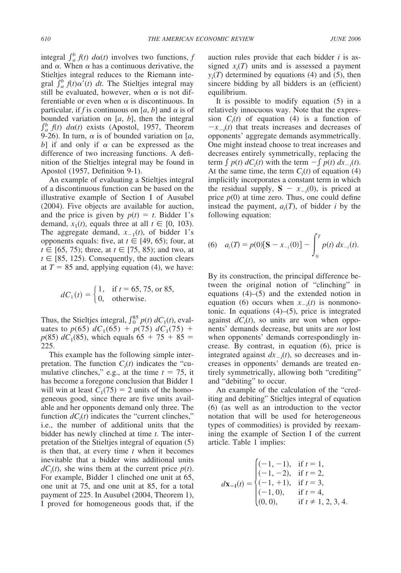integral  $\int_a^b f(t) \, d\alpha(t)$  involves two functions, *f* and  $\alpha$ . When  $\alpha$  has a continuous derivative, the Stieltjes integral reduces to the Riemann integral  $\int_a^b f(t) \alpha'(t) dt$ . The Stieltjes integral may still be evaluated, however, when  $\alpha$  is not differentiable or even when  $\alpha$  is discontinuous. In particular, if *f* is continuous on [ $a$ ,  $b$ ] and  $\alpha$  is of bounded variation on [*a*, *b*], then the integral  $\int_a^b f(t) \, d\alpha(t)$  exists (Apostol, 1957, Theorem 9-26). In turn,  $\alpha$  is of bounded variation on [a, *b*] if and only if  $\alpha$  can be expressed as the difference of two increasing functions. A definition of the Stieltjes integral may be found in Apostol (1957, Definition 9-1).

An example of evaluating a Stieltjes integral of a discontinuous function can be based on the illustrative example of Section I of Ausubel (2004). Five objects are available for auction, and the price is given by  $p(t) = t$ . Bidder 1's demand,  $x_1(t)$ , equals three at all  $t \in [0, 103)$ . The aggregate demand,  $x_{-1}(t)$ , of bidder 1's opponents equals: five, at  $t \in [49, 65)$ ; four, at  $t \in [65, 75)$ ; three, at  $t \in [75, 85)$ ; and two, at  $t \in [85, 125)$ . Consequently, the auction clears at  $T = 85$  and, applying equation (4), we have:

$$
dC_1(t) = \begin{cases} 1, & \text{if } t = 65, 75, \text{ or } 85, \\ 0, & \text{otherwise.} \end{cases}
$$

Thus, the Stieltjes integral,  $\int_0^{85} p(t) dC_1(t)$ , evaluates to  $p(65)$   $dC_1(65)$  +  $p(75)$   $dC_1(75)$  +  $p(85)$  *dC*<sub>1</sub>(85), which equals 65 + 75 + 85 = 225.

This example has the following simple interpretation. The function  $C_i(t)$  indicates the "cumulative clinches," e.g., at the time  $t = 75$ , it has become a foregone conclusion that Bidder 1 will win at least  $C_1(75) = 2$  units of the homogeneous good, since there are five units available and her opponents demand only three. The function  $dC_i(t)$  indicates the "current clinches," i.e., the number of additional units that the bidder has newly clinched at time *t*. The interpretation of the Stieltjes integral of equation (5) is then that, at every time *t* when it becomes inevitable that a bidder wins additional units  $dC_i(t)$ , she wins them at the current price  $p(t)$ . For example, Bidder 1 clinched one unit at 65, one unit at 75, and one unit at 85, for a total payment of 225. In Ausubel (2004, Theorem 1), I proved for homogeneous goods that, if the

auction rules provide that each bidder *i* is assigned  $x_i(T)$  units and is assessed a payment  $y_i(T)$  determined by equations (4) and (5), then sincere bidding by all bidders is an (efficient) equilibrium.

It is possible to modify equation (5) in a relatively innocuous way. Note that the expression  $C_i(t)$  of equation (4) is a function of  $-x_i(t)$  that treats increases and decreases of opponents' aggregate demands asymmetrically. One might instead choose to treat increases and decreases entirely symmetrically, replacing the term  $\int p(t) dC_i(t)$  with the term  $-\int p(t) dx_{-i}(t)$ . At the same time, the term  $C_i(t)$  of equation (4) implicitly incorporates a constant term in which the residual supply,  $S - x_{i}(0)$ , is priced at price  $p(0)$  at time zero. Thus, one could define instead the payment,  $a_i(T)$ , of bidder *i* by the following equation:

(6) 
$$
a_i(T) = p(0)[S - x_{-i}(0)] - \int_0^T p(t) dx_{-i}(t).
$$

By its construction, the principal difference between the original notion of "clinching" in equations (4)–(5) and the extended notion in equation (6) occurs when  $x_{i}(t)$  is nonmonotonic. In equations  $(4)$ – $(5)$ , price is integrated against  $dC<sub>i</sub>(t)$ , so units are won when opponents' demands decrease, but units are *not* lost when opponents' demands correspondingly increase. By contrast, in equation (6), price is integrated against  $dx_{-i}(t)$ , so decreases and increases in opponents' demands are treated entirely symmetrically, allowing both "crediting" and "debiting" to occur.

An example of the calculation of the "crediting and debiting" Stieltjes integral of equation (6) (as well as an introduction to the vector notation that will be used for heterogeneous types of commodities) is provided by reexamining the example of Section I of the current article. Table 1 implies:

$$
d\mathbf{x}_{-1}(t) = \begin{cases} (-1, -1), & \text{if } t = 1, \\ (-1, -2), & \text{if } t = 2, \\ (-1, +1), & \text{if } t = 3, \\ (-1, 0), & \text{if } t = 4, \\ (0, 0), & \text{if } t \neq 1, 2, 3, 4. \end{cases}
$$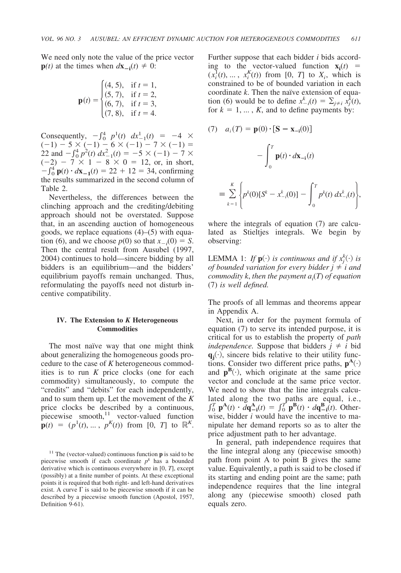We need only note the value of the price vector **p**(*t*) at the times when  $d\mathbf{x}_{-i}(t) \neq 0$ :

$$
\mathbf{p}(t) = \begin{cases} (4, 5), & \text{if } t = 1, \\ (5, 7), & \text{if } t = 2, \\ (6, 7), & \text{if } t = 3, \\ (7, 8), & \text{if } t = 4. \end{cases}
$$

Consequently,  $-f_0^4 \, p^1(t) \, dx_{-1}^1(t) = -4 \times$  $(-1) - 5 \times (-1) - 6 \times (-1) - 7 \times (-1) =$ 22 and  $-f_0^4 p^2(t) dx_{-1}^2(t) = -5 \times (-1) - 7 \times$  $(-2)$  –  $7 \times 1 - 8 \times 0 = 12$ , or, in short,  $-\int_0^4 \mathbf{p}(t) \cdot d\mathbf{x}_{-1}(t) = 22 + 12 = 34$ , confirming the results summarized in the second column of Table 2.

Nevertheless, the differences between the clinching approach and the crediting/debiting approach should not be overstated. Suppose that, in an ascending auction of homogeneous goods, we replace equations (4)–(5) with equation (6), and we choose  $p(0)$  so that  $x_{i}(0) = S$ . Then the central result from Ausubel (1997, 2004) continues to hold—sincere bidding by all bidders is an equilibrium—and the bidders' equilibrium payoffs remain unchanged. Thus, reformulating the payoffs need not disturb incentive compatibility.

#### **IV. The Extension to** *K* **Heterogeneous Commodities**

The most naïve way that one might think about generalizing the homogeneous goods procedure to the case of *K* heterogeneous commodities is to run *K* price clocks (one for each commodity) simultaneously, to compute the "credits" and "debits" for each independently, and to sum them up. Let the movement of the *K* price clocks be described by a continuous, piecewise  $smooth<sup>11</sup> vector-valued function$  $\mathbf{p}(t) = (p^1(t), ..., p^K(t))$  from [0, *T*] to  $\mathbb{R}^K$ .

Further suppose that each bidder *i* bids according to the vector-valued function  $\mathbf{x}_i(t)$  =  $(x_i^{\text{I}}(t), ..., x_i^{\text{K}}(t))$  from [0, *T*] to  $X_i$ , which is constrained to be of bounded variation in each coordinate  $k$ . Then the naïve extension of equation (6) would be to define  $x_{-i}^k(t) = \sum_{j \neq i} x_j^k(t)$ , for  $k = 1, \dots, K$ , and to define payments by:

(7) 
$$
a_i(T) = \mathbf{p}(0) \cdot [\mathbf{S} - \mathbf{x}_{-i}(0)]
$$
  
\n
$$
- \int_0^T \mathbf{p}(t) \cdot d\mathbf{x}_{-i}(t)
$$
\n
$$
\equiv \sum_{k=1}^K \left\{ p^k(0)[S^k - x_{-i}^k(0)] - \int_0^T p^k(t) \, dx_{-i}^k(t) \right\},
$$

where the integrals of equation (7) are calculated as Stieltjes integrals. We begin by observing:

LEMMA 1: If  $p(\cdot)$  is continuous and if  $x_j^k(\cdot)$  is *of bounded variation for every bidder*  $j \neq i$  *and commodity k*, *then the payment ai* (*T*) *of equation* (7) *is well defined.*

The proofs of all lemmas and theorems appear in Appendix A.

Next, in order for the payment formula of equation (7) to serve its intended purpose, it is critical for us to establish the property of *path independence.* Suppose that bidders  $j \neq i$  bid  $q_j(\cdot)$ , sincere bids relative to their utility functions. Consider two different price paths,  $p^A(\cdot)$ and  $p^B(\cdot)$ , which originate at the same price vector and conclude at the same price vector. We need to show that the line integrals calculated along the two paths are equal, i.e.,  $\int_0^T \mathbf{p}^{\mathbf{A}}(t) \cdot d\mathbf{q}^{\mathbf{A}}_{-\mathbf{i}}(t) = \int_0^T \mathbf{p}^{\mathbf{B}}(t) \cdot d\mathbf{q}^{\mathbf{B}}_{-\mathbf{i}}(t)$ . Otherwise, bidder *i* would have the incentive to manipulate her demand reports so as to alter the price adjustment path to her advantage.

In general, path independence requires that the line integral along any (piecewise smooth) path from point A to point B gives the same value. Equivalently, a path is said to be closed if its starting and ending point are the same; path independence requires that the line integral along any (piecewise smooth) closed path equals zero.

<sup>11</sup> The (vector-valued) continuous function **p** is said to be piecewise smooth if each coordinate  $p^k$  has a bounded derivative which is continuous everywhere in [0, *T*], except (possibly) at a finite number of points. At these exceptional points it is required that both right- and left-hand derivatives exist. A curve  $\Gamma$  is said to be piecewise smooth if it can be described by a piecewise smooth function (Apostol, 1957, Definition 9-61).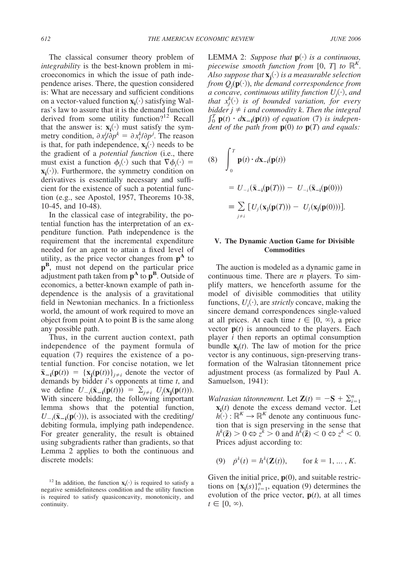The classical consumer theory problem of *integrability* is the best-known problem in microeconomics in which the issue of path independence arises. There, the question considered is: What are necessary and sufficient conditions on a vector-valued function  $\mathbf{x}_i(\cdot)$  satisfying Walras's law to assure that it is the demand function derived from some utility function?<sup>12</sup> Recall that the answer is:  $\mathbf{x}_i(\cdot)$  must satisfy the symmetry condition,  $\partial x_i^j / \partial p^k = \partial x_i^k / \partial p^j$ . The reason is that, for path independence,  $\mathbf{x}_i(\cdot)$  needs to be the gradient of a *potential function* (i.e., there must exist a function  $\phi_i(\cdot)$  such that  $\nabla \phi_i(\cdot)$  =  $\mathbf{x_i}(\cdot)$ ). Furthermore, the symmetry condition on derivatives is essentially necessary and sufficient for the existence of such a potential function (e.g., see Apostol, 1957, Theorems 10-38, 10-45, and 10-48).

In the classical case of integrability, the potential function has the interpretation of an expenditure function. Path independence is the requirement that the incremental expenditure needed for an agent to attain a fixed level of utility, as the price vector changes from  $p<sup>A</sup>$  to **pB**, must not depend on the particular price adjustment path taken from  $p^A$  to  $p^B$ . Outside of economics, a better-known example of path independence is the analysis of a gravitational field in Newtonian mechanics. In a frictionless world, the amount of work required to move an object from point A to point B is the same along any possible path.

Thus, in the current auction context, path independence of the payment formula of equation (7) requires the existence of a potential function. For concise notation, we let  $\bar{\mathbf{x}}_{-i}(\mathbf{p}(t)) = {\mathbf{x}_j(\mathbf{p}(t))}_{j \neq i}$  denote the vector of demands by bidder *i*'s opponents at time *t*, and we define  $U_{-i}(\bar{x}_{-i}(\bar{p}(t))) = \sum_{j \neq i} U_{j}(x_{j}(\bar{p}(t))).$ With sincere bidding, the following important lemma shows that the potential function,  $U_{-i}(\bar{\mathbf{x}}_{-i}(\mathbf{p}(\cdot)))$ , is associated with the crediting/ debiting formula, implying path independence. For greater generality, the result is obtained using subgradients rather than gradients, so that Lemma 2 applies to both the continuous and discrete models:

LEMMA 2: *Suppose that*  $\mathbf{p}(\cdot)$  *is a continuous, piecewise smooth function from* [0, *T*] *to*  $\mathbb{R}^K$ . *Also suppose that* **xj** *is a measurable selection* from  $Q_j(\mathbf{p}(\cdot))$ , the demand correspondence from *a concave, continuous utility function*  $U_j(\cdot)$ *, and that*  $x_j^k(\cdot)$  *is of bounded variation, for every bidder*  $j \neq i$  *and commodity k. Then the integral*  $\int_0^T \mathbf{p}(t) \cdot d\mathbf{x}_{-i}(\mathbf{p}(t))$  of equation (7) is indepen*dent of the path from* **p**(0) *to* **p**(*T*) *and equals:*

(8) 
$$
\int_0^T \mathbf{p}(t) \cdot d\mathbf{x}_{-i}(\mathbf{p}(t))
$$

$$
= U_{-i}(\bar{\mathbf{x}}_{-i}(\mathbf{p}(T))) - U_{-i}(\bar{\mathbf{x}}_{-i}(\mathbf{p}(0)))
$$

$$
\equiv \sum_{j \neq i} [U_j(\mathbf{x}_j(\mathbf{p}(T))) - U_j(\mathbf{x}_j(\mathbf{p}(0)))].
$$

# **V. The Dynamic Auction Game for Divisible Commodities**

The auction is modeled as a dynamic game in continuous time. There are *n* players. To simplify matters, we henceforth assume for the model of divisible commodities that utility functions,  $U_i(\cdot)$ , are *strictly* concave, making the sincere demand correspondences single-valued at all prices. At each time  $t \in [0, \infty)$ , a price vector  $p(t)$  is announced to the players. Each player *i* then reports an optimal consumption bundle  $\mathbf{x}_i(t)$ . The law of motion for the price vector is any continuous, sign-preserving transformation of the Walrasian tâtonnement price adjustment process (as formalized by Paul A. Samuelson, 1941):

*Walrasian tâtonnement.* Let  $\mathbf{Z}(t) = -\mathbf{S} + \sum_{i=1}^{n}$  $\mathbf{x}_i(t)$  denote the excess demand vector. Let  $h(\cdot): \mathbb{R}^K \to \mathbb{R}^K$  denote any continuous function that is sign preserving in the sense that  $h^k(\vec{z}) > 0 \Leftrightarrow z^k > 0$  and  $h^k(\vec{z}) < 0 \Leftrightarrow z^k < 0$ . Prices adjust according to:

(9)  $p^k(t) = h^k(\mathbf{Z}(t)),$  for  $k = 1, ..., K$ .

Given the initial price,  $p(0)$ , and suitable restrictions on  $\{x_i(s)\}_{i=1}^n$ , equation (9) determines the evolution of the price vector,  $p(t)$ , at all times  $t \in [0, \infty)$ .

<sup>&</sup>lt;sup>12</sup> In addition, the function  $\mathbf{x}_i(\cdot)$  is required to satisfy a negative semidefiniteness condition and the utility function is required to satisfy quasiconcavity, monotonicity, and continuity.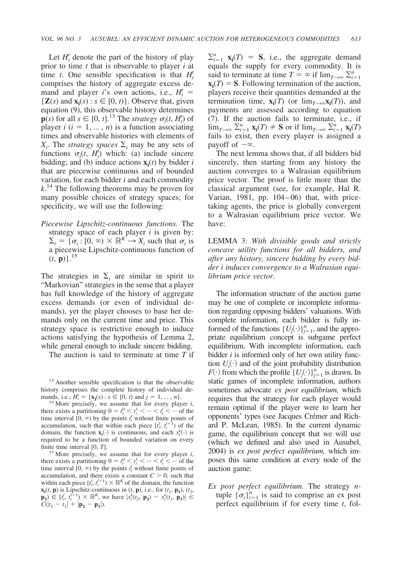Let  $H_i^t$  denote the part of the history of play prior to time *t* that is observable to player *i* at time *t*. One sensible specification is that  $H_i^t$ comprises the history of aggregate excess demand and player *i*'s own actions, i.e.,  $H_i^t$  =  ${\bf Z}(s)$  and  ${\bf x}_i(s)$  :  $s \in [0, t)$ . Observe that, given equation (9), this observable history determines  $\mathbf{p}(s)$  for all  $s \in [0, t]$ .<sup>13</sup> The *strategy*  $\sigma_i(t, H_i^t)$  of player  $i$  ( $i = 1, ..., n$ ) is a function associating times and observable histories with elements of  $X_i$ . The *strategy spaces*  $\Sigma_i$  may be any sets of functions  $\sigma_i(t, H_i^t)$  which: (a) include sincere bidding; and (b) induce actions  $\mathbf{x}_i(t)$  by bidder *i* that are piecewise continuous and of bounded variation, for each bidder *i* and each commodity *k*. <sup>14</sup> The following theorems may be proven for many possible choices of strategy spaces; for specificity, we will use the following:

*Piecewise Lipschitz-continuous functions.* The strategy space of each player *i* is given by:  $\Sigma_i = {\sigma_i : [0, \infty) \times \mathbb{R}^{K^*} \rightarrow X_i \text{ such that } \sigma_i \text{ is}}$ a piecewise Lipschitz-continuous function of  $(t, \mathbf{p})\}$ .<sup>15</sup>

The strategies in  $\Sigma_i$  are similar in spirit to "Markovian" strategies in the sense that a player has full knowledge of the history of aggregate excess demands (or even of individual demands), yet the player chooses to base her demands only on the current time and price. This strategy space is restrictive enough to induce actions satisfying the hypothesis of Lemma 2, while general enough to include sincere bidding.

<sup>14</sup> More precisely, we assume that for every player *i*, there exists a partitioning  $0 = t_i^0 < t_i^1 < \dots < t_i^1 < \dots$  of the time interval  $[0, \infty)$  by the points  $t_i^l$  without finite points of accumulation, such that within each piece  $[t_i^l, t_i^{l+1}]$  of the domain, the function  $\mathbf{x}_i(\cdot)$  is continuous, and each  $x_i^k(\cdot)$  is required to be a function of bounded variation on every

finite time interval [0, *T*].<br><sup>15</sup> More precisely, we assume that for every player *i*, there exists a partitioning  $0 = t_i^0 < t_i^1 < \dots < t_i^1 < \dots$  of the time interval  $[0, \infty)$  by the points  $t_i^l$  without finite points of accumulation, and there exists a constant  $C > 0$ , such that within each piece  $[t_i^l, t_i^{l+1}) \times \mathbb{R}^K$  of the domain, the function  $\mathbf{x}_i(t, \mathbf{p})$  is Lipschitz-continuous in (*t*, **p**), i.e., for (*t*<sub>1</sub>, **p**<sub>1</sub>), (*t*<sub>2</sub>,  $\mathbf{p}_2$ )  $\in$   $[t_i^l, t_i^{l+1}) \times \mathbb{R}^K$ , we have  $|x_i^k(t_2, \mathbf{p}_2) - x_i^k(t_1, \mathbf{p}_1)| \leq$  $C(|t_2 - t_1| + |\mathbf{p}_2 - \mathbf{p}_1|).$ 

 $\sum_{i=1}^{n}$  **x**<sub>i</sub>(*T*) = **S**, i.e., the aggregate demand equals the supply for every commodity. It is said to terminate at time  $T = \infty$  if  $\lim_{T \to \infty} \sum_{i=1}^{n}$  $\mathbf{x}_i(T) = \mathbf{S}$ . Following termination of the auction, players receive their quantities demanded at the termination time,  $\mathbf{x}_i(T)$  (or  $\lim_{T \to \infty} \mathbf{x}_i(T)$ ), and payments are assessed according to equation (7). If the auction fails to terminate, i.e., if  $\lim_{T\to\infty} \sum_{i=1}^n \mathbf{x_i}(T) \neq \mathbf{S}$  or if  $\lim_{T\to\infty} \sum_{i=1}^n \mathbf{x_i}(T)$ fails to exist, then every player is assigned a payoff of  $-\infty$ .

The next lemma shows that, if all bidders bid sincerely, then starting from any history the auction converges to a Walrasian equilibrium price vector. The proof is little more than the classical argument (see, for example, Hal R. Varian,  $1981$ , pp.  $104-06$ ) that, with pricetaking agents, the price is globally convergent to a Walrasian equilibrium price vector. We have:

LEMMA 3: *With divisible goods and strictly concave utility functions for all bidders, and after any history, sincere bidding by every bidder i induces convergence to a Walrasian equilibrium price vector.*

The information structure of the auction game may be one of complete or incomplete information regarding opposing bidders' valuations. With complete information, each bidder is fully informed of the functions  ${U_j(\cdot)}_{j=1}^n$ , and the appropriate equilibrium concept is subgame perfect equilibrium. With incomplete information, each bidder *i* is informed only of her own utility function  $U_i(\cdot)$  and of the joint probability distribution *F*( $\cdot$ ) from which the profile  $\{U_j(\cdot)\}_{j=1}^n$  is drawn. In static games of incomplete information, authors sometimes advocate *ex post equilibrium,* which requires that the strategy for each player would remain optimal if the player were to learn her opponents' types (see Jacques Crémer and Richard P. McLean, 1985). In the current dynamic game, the equilibrium concept that we will use (which we defined and also used in Ausubel, 2004) is *ex post perfect equilibrium,* which imposes this same condition at every node of the auction game:

*Ex post perfect equilibrium.* The strategy *n*tuple  ${\{\sigma_i\}}_{i=1}^n$  is said to comprise an ex post perfect equilibrium if for every time *t*, fol-

The auction is said to terminate at time *T* if

<sup>&</sup>lt;sup>13</sup> Another sensible specification is that the observable history comprises the complete history of individual demands, i.e.,  $H_i^t = \{x_j\}$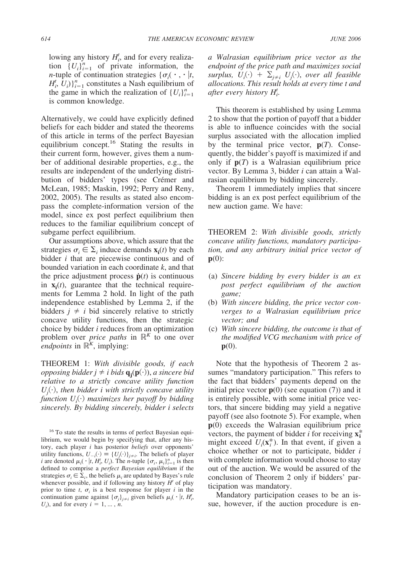lowing any history  $H_i^t$ , and for every realization  ${U_i}_{i=1}^n$  of private information, the *n*-tuple of continuation strategies  $\{\sigma_i(\cdot, \cdot) | t, \ldots \}$  $H_i^t$ ,  $U_i$ ) $\}_{i=1}^n$  constitutes a Nash equilibrium of the game in which the realization of  ${U_i}_{i=1}^n$ is common knowledge.

Alternatively, we could have explicitly defined beliefs for each bidder and stated the theorems of this article in terms of the perfect Bayesian equilibrium concept.16 Stating the results in their current form, however, gives them a number of additional desirable properties, e.g., the results are independent of the underlying distribution of bidders' types (see Crémer and McLean, 1985; Maskin, 1992; Perry and Reny, 2002, 2005). The results as stated also encompass the complete-information version of the model, since ex post perfect equilibrium then reduces to the familiar equilibrium concept of subgame perfect equilibrium.

Our assumptions above, which assure that the strategies  $\sigma_i \in \Sigma_i$  induce demands  $\mathbf{x_i}(t)$  by each bidder *i* that are piecewise continuous and of bounded variation in each coordinate *k*, and that the price adjustment process  $\dot{\mathbf{p}}(t)$  is continuous in  $\mathbf{x}_i(t)$ , guarantee that the technical requirements for Lemma 2 hold. In light of the path independence established by Lemma 2, if the bidders  $j \neq i$  bid sincerely relative to strictly concave utility functions, then the strategic choice by bidder *i* reduces from an optimization problem over *price paths* in  $\mathbb{R}^K$  to one over *endpoints* in  $\mathbb{R}^K$ , implying:

THEOREM 1: *With divisible goods, if each opposing bidder j i bids* **qj** (**p**), *a sincere bid relative to a strictly concave utility function*  $U_j(\cdot)$ , then bidder i with strictly concave utility *function Ui maximizes her payoff by bidding sincerely. By bidding sincerely, bidder i selects*

<sup>16</sup> To state the results in terms of perfect Bayesian equilibrium, we would begin by specifying that, after any history, each player *i* has posterior *beliefs* over opponents' utility functions,  $U_{-i}(\cdot) \equiv \{U_j(\cdot)\}_{j \neq i}$ . The beliefs of player *i* are denoted  $\mu_i(\cdot | t, H_i^t, U_i)$ . The *n*-tuple  $\{\sigma_i, \mu_i\}_{i=1}^n$  is then defined to comprise a *perfect Bayesian equilibrium* if the strategies  $\sigma_i \in \Sigma_i$ , the beliefs  $\mu_i$  are updated by Bayes's rule whenever possible, and if following any history  $H<sup>t</sup>$  of play prior to time *t*,  $\sigma_i$  is a best response for player *i* in the continuation game against  $\{\sigma_j\}_{j \neq i}$  given beliefs  $\mu_i(\cdot | t, H_i^t)$  $U_i$ ), and for every  $i = 1, ..., n$ .

*a Walrasian equilibrium price vector as the endpoint of the price path and maximizes social*  $\sum_{j \neq i}$   $U_j(\cdot)$  +  $\sum_{j \neq i}$   $U_j(\cdot)$ , over all feasible *allocations. This result holds at every time t and after every history Hi t* .

This theorem is established by using Lemma 2 to show that the portion of payoff that a bidder is able to influence coincides with the social surplus associated with the allocation implied by the terminal price vector, **p**(*T*). Consequently, the bidder's payoff is maximized if and only if **p**(*T*) is a Walrasian equilibrium price vector. By Lemma 3, bidder *i* can attain a Walrasian equilibrium by bidding sincerely.

Theorem 1 immediately implies that sincere bidding is an ex post perfect equilibrium of the new auction game. We have:

THEOREM 2: *With divisible goods, strictly concave utility functions, mandatory participation, and any arbitrary initial price vector of* **p**(0):

- (a) *Sincere bidding by every bidder is an ex post perfect equilibrium of the auction game;*
- (b) *With sincere bidding, the price vector converges to a Walrasian equilibrium price vector; and*
- (c) *With sincere bidding, the outcome is that of the modified VCG mechanism with price of*  $p(0)$ .

Note that the hypothesis of Theorem 2 assumes "mandatory participation." This refers to the fact that bidders' payments depend on the initial price vector  $p(0)$  (see equation  $(7)$ ) and it is entirely possible, with some initial price vectors, that sincere bidding may yield a negative payoff (see also footnote 5). For example, when **p**(0) exceeds the Walrasian equilibrium price vectors, the payment of bidder *i* for receiving  $\mathbf{x}_i^*$ might exceed  $U_i(\mathbf{x}_i^*)$ . In that event, if given a choice whether or not to participate, bidder *i* with complete information would choose to stay out of the auction. We would be assured of the conclusion of Theorem 2 only if bidders' participation was mandatory.

Mandatory participation ceases to be an issue, however, if the auction procedure is en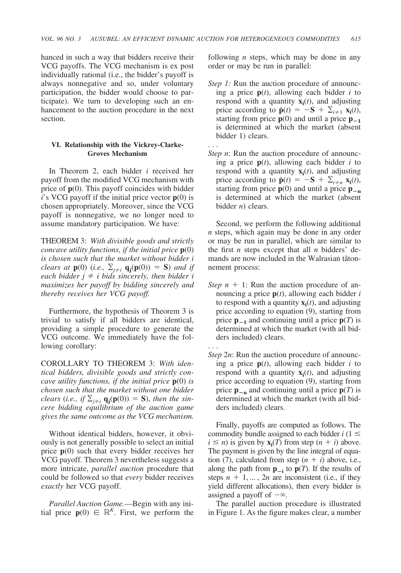hanced in such a way that bidders receive their VCG payoffs. The VCG mechanism is ex post individually rational (i.e., the bidder's payoff is always nonnegative and so, under voluntary participation, the bidder would choose to participate). We turn to developing such an enhancement to the auction procedure in the next section.

# **VI. Relationship with the Vickrey-Clarke-Groves Mechanism**

In Theorem 2, each bidder *i* received her payoff from the modified VCG mechanism with price of **p**(0). This payoff coincides with bidder *i*'s VCG payoff if the initial price vector **p**(0) is chosen appropriately. Moreover, since the VCG payoff is nonnegative, we no longer need to assume mandatory participation. We have:

THEOREM 3: *With divisible goods and strictly concave utility functions, if the initial price* **p**(0) *is chosen such that the market without bidder i clears at*  $\mathbf{p}(0)$  (*i.e.*,  $\sum_{j\neq i} \mathbf{q}_j(\mathbf{p}(0)) = \mathbf{S}$ ) *and if each bidder*  $j \neq i$  *bids sincerely, then bidder i maximizes her payoff by bidding sincerely and thereby receives her VCG payoff.*

Furthermore, the hypothesis of Theorem 3 is trivial to satisfy if all bidders are identical, providing a simple procedure to generate the VCG outcome. We immediately have the following corollary:

COROLLARY TO THEOREM 3: *With identical bidders, divisible goods and strictly concave utility functions, if the initial price* **p**(0) *is chosen such that the market without one bidder clears* (*i.e., if*  $\sum_{j\neq i} \mathbf{q}_j(\mathbf{p}(0)) = \mathbf{S}$ ), *then the sincere bidding equilibrium of the auction game gives the same outcome as the VCG mechanism.*

Without identical bidders, however, it obviously is not generally possible to select an initial price **p**(0) such that every bidder receives her VCG payoff. Theorem 3 nevertheless suggests a more intricate, *parallel auction* procedure that could be followed so that *every* bidder receives *exactly* her VCG payoff.

*Parallel Auction Game.*—Begin with any initial price  $p(0) \in \mathbb{R}^{K}$ . First, we perform the

following *n* steps, which may be done in any order or may be run in parallel:

- *Step 1:* Run the auction procedure of announcing a price  $p(t)$ , allowing each bidder *i* to respond with a quantity  $\mathbf{x}_i(t)$ , and adjusting price according to  $\dot{\mathbf{p}}(t) = -\mathbf{S} + \sum_{i \neq 1} \mathbf{x}_i(t)$ , starting from price  $p(0)$  and until a price  $p_{-1}$ is determined at which the market (absent bidder 1) clears.
- ... *Step n*: Run the auction procedure of announcing a price  $p(t)$ , allowing each bidder *i* to respond with a quantity  $\mathbf{x}_i(t)$ , and adjusting price according to  $\dot{\mathbf{p}}(t) = -\mathbf{S} + \sum_{i \neq n} \mathbf{x}_i(t)$ , starting from price  $p(0)$  and until a price  $p_{-n}$ is determined at which the market (absent bidder *n*) clears.

Second, we perform the following additional *n* steps, which again may be done in any order or may be run in parallel, which are similar to the first *n* steps except that all *n* bidders' demands are now included in the Walrasian tâtonnement process:

- *Step n* + 1: Run the auction procedure of announcing a price **p**(*t*), allowing each bidder *i* to respond with a quantity  $\mathbf{x}_i(t)$ , and adjusting price according to equation (9), starting from price  $\mathbf{p}_{-1}$  and continuing until a price  $\mathbf{p}(T)$  is determined at which the market (with all bidders included) clears.
- ... *Step* 2*n*: Run the auction procedure of announcing a price  $p(t)$ , allowing each bidder *i* to respond with a quantity  $\mathbf{x}_i(t)$ , and adjusting price according to equation (9), starting from price  $\mathbf{p}_{-\mathbf{n}}$  and continuing until a price  $\mathbf{p}(T)$  is determined at which the market (with all bidders included) clears.

Finally, payoffs are computed as follows. The commodity bundle assigned to each bidder  $i$  ( $1 \le$  $i \leq n$ ) is given by  $\mathbf{x}_i(T)$  from step  $(n + i)$  above. The payment is given by the line integral of equation (7), calculated from step  $(n + i)$  above, i.e., along the path from  $\mathbf{p}_{-i}$  to  $\mathbf{p}(T)$ . If the results of steps  $n + 1, \ldots, 2n$  are inconsistent (i.e., if they yield different allocations), then every bidder is assigned a payoff of  $-\infty$ .

The parallel auction procedure is illustrated in Figure 1. As the figure makes clear, a number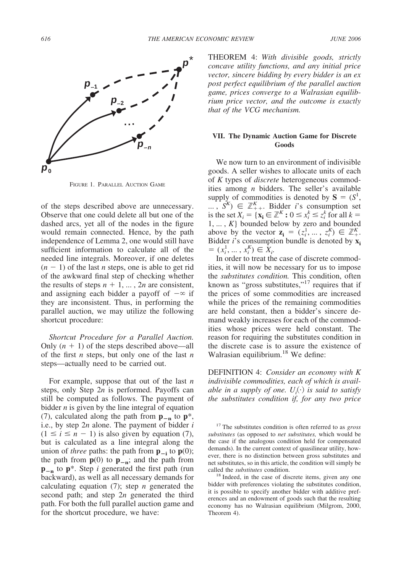

FIGURE 1. PARALLEL AUCTION GAME

of the steps described above are unnecessary. Observe that one could delete all but one of the dashed arcs, yet all of the nodes in the figure would remain connected. Hence, by the path independence of Lemma 2, one would still have sufficient information to calculate all of the needed line integrals. Moreover, if one deletes  $(n - 1)$  of the last *n* steps, one is able to get rid of the awkward final step of checking whether the results of steps  $n + 1, \ldots, 2n$  are consistent, and assigning each bidder a payoff of  $-\infty$  if they are inconsistent. Thus, in performing the parallel auction, we may utilize the following shortcut procedure:

*Shortcut Procedure for a Parallel Auction.* Only  $(n + 1)$  of the steps described above—all of the first *n* steps, but only one of the last *n* steps—actually need to be carried out.

For example, suppose that out of the last *n* steps, only Step 2*n* is performed. Payoffs can still be computed as follows. The payment of bidder *n* is given by the line integral of equation (7), calculated along the path from  $\mathbf{p}_{-\mathbf{n}}$  to  $\mathbf{p}^*$ , i.e., by step 2*n* alone. The payment of bidder *i*  $(1 \le i \le n - 1)$  is also given by equation (7), but is calculated as a line integral along the union of *three* paths: the path from  $\mathbf{p}_{-i}$  to  $\mathbf{p}(0)$ ; the path from  $p(0)$  to  $p_{-n}$ ; and the path from  $\mathbf{p}_{-n}$  to  $\mathbf{p}^*$ . Step *i* generated the first path (run backward), as well as all necessary demands for calculating equation (7); step *n* generated the second path; and step 2*n* generated the third path. For both the full parallel auction game and for the shortcut procedure, we have:

THEOREM 4: *With divisible goods, strictly concave utility functions, and any initial price vector, sincere bidding by every bidder is an ex post perfect equilibrium of the parallel auction game, prices converge to a Walrasian equilibrium price vector, and the outcome is exactly that of the VCG mechanism.*

# **VII. The Dynamic Auction Game for Discrete Goods**

We now turn to an environment of indivisible goods. A seller wishes to allocate units of each of *K* types of *discrete* heterogeneous commodities among *n* bidders. The seller's available supply of commodities is denoted by  $S = (S^1,$  $\ldots$ ,  $S^{K}$ )  $\in \mathbb{Z}_{++}^{K}$ . Bidder *i*'s consumption set is the set  $X_i = \{ \mathbf{x_i} \in \mathbb{Z}^K : 0 \le x_i^k \le z_i^k \text{ for all } k = 1 \}$ 1, ... , *K*} bounded below by zero and bounded above by the vector  $\mathbf{z}_i = (z_i^1, \dots, z_i^K) \in \mathbb{Z}_+^K$ . Bidder *i*'s consumption bundle is denoted by **xi**  $=(x_i^1, ..., x_i^K) \in \dot{X}_i.$ 

In order to treat the case of discrete commodities, it will now be necessary for us to impose the *substitutes condition.* This condition, often known as "gross substitutes,"17 requires that if the prices of some commodities are increased while the prices of the remaining commodities are held constant, then a bidder's sincere demand weakly increases for each of the commodities whose prices were held constant. The reason for requiring the substitutes condition in the discrete case is to assure the existence of Walrasian equilibrium.<sup>18</sup> We define:

DEFINITION 4: *Consider an economy with K indivisible commodities, each of which is available in a supply of one.*  $U_i(\cdot)$  *is said to satisfy the substitutes condition if, for any two price*

<sup>17</sup> The substitutes condition is often referred to as *gross substitutes* (as opposed to *net substitutes,* which would be the case if the analogous condition held for compensated demands). In the current context of quasilinear utility, however, there is no distinction between gross substitutes and net substitutes, so in this article, the condition will simply be called the *substitutes* condition.<br><sup>18</sup> Indeed, in the case of discrete items, given any one

bidder with preferences violating the substitutes condition, it is possible to specify another bidder with additive preferences and an endowment of goods such that the resulting economy has no Walrasian equilibrium (Milgrom, 2000, Theorem 4).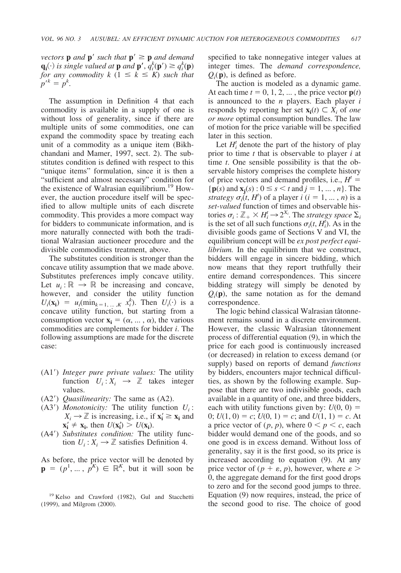*vectors* **p** *and* **p**<sup> $\prime$ </sup> *such that* **p**<sup> $\prime$ </sup>  $\geq$  **p** *and demand*  $\mathbf{q_i}(\cdot)$  *is single valued at* **p** *and* **p'**,  $q_i^k(\mathbf{p'}) \geq q_i^k(\mathbf{p})$ *for any commodity*  $k$   $(1 \leq k \leq K)$  *such that*  $p'^k = p^k$ .

The assumption in Definition 4 that each commodity is available in a supply of one is without loss of generality, since if there are multiple units of some commodities, one can expand the commodity space by treating each unit of a commodity as a unique item (Bikhchandani and Mamer, 1997, sect. 2). The substitutes condition is defined with respect to this "unique items" formulation, since it is then a "sufficient and almost necessary" condition for the existence of Walrasian equilibrium.<sup>19</sup> However, the auction procedure itself will be specified to allow multiple units of each discrete commodity. This provides a more compact way for bidders to communicate information, and is more naturally connected with both the traditional Walrasian auctioneer procedure and the divisible commodities treatment, above.

The substitutes condition is stronger than the concave utility assumption that we made above. Substitutes preferences imply concave utility. Let  $u_i : \mathbb{R} \to \mathbb{R}$  be increasing and concave, however, and consider the utility function  $U_i(\mathbf{x_i}) = u_i(\text{min}_{k=1,\dots,K} x_i^k)$ . Then  $U_i(\cdot)$  is a concave utility function, but starting from a consumption vector  $\mathbf{x}_i = (\alpha, ..., \alpha)$ , the various commodities are complements for bidder *i*. The following assumptions are made for the discrete case:

- (A1') Integer pure private values: The utility function  $U_i: X_i \rightarrow \mathbb{Z}$  takes integer values.
- (A2') *Quasilinearity:* The same as (A2).
- (A3') *Monotonicity:* The utility function  $U_i$ :  $X_i \rightarrow \mathbb{Z}$  is increasing, i.e., if  $\mathbf{x}_i' \geq \mathbf{x}_i$  and  $\mathbf{x}_i' \neq \mathbf{x}_i$ , then  $U(\mathbf{x}_i') > U(\mathbf{x}_i)$ .
- (A4') Substitutes condition: The utility function  $U_i: X_i \to \mathbb{Z}$  satisfies Definition 4.

As before, the price vector will be denoted by  $\mathbf{p} = (p^1, \dots, p^K) \in \mathbb{R}^K$ , but it will soon be

specified to take nonnegative integer values at integer times. The *demand correspondence,*  $Q_i(\mathbf{p})$ , is defined as before.

The auction is modeled as a dynamic game. At each time  $t = 0, 1, 2, ...$ , the price vector  $p(t)$ is announced to the *n* players. Each player *i* responds by reporting her set  $\mathbf{x}_i(t) \subset X_i$  of one *or more* optimal consumption bundles. The law of motion for the price variable will be specified later in this section.

Let  $H_i^t$  denote the part of the history of play prior to time *t* that is observable to player *i* at time *t*. One sensible possibility is that the observable history comprises the complete history of price vectors and demand profiles, i.e.,  $H^t =$ {**p**(*s*) and **x**<sub>**j**</sub>(*s*):  $0 \le s < t$  and  $j = 1, ..., n$  }. The *strategy*  $\sigma_i(t, H^t)$  of a player  $i$   $(i = 1, ..., n)$  is a *set-valued* function of times and observable histories  $\sigma_i : \mathbb{Z}_+ \times H_i^t \rightarrow 2^{X_i}$ . The *strategy space*  $\Sigma_i$ is the set of all such functions  $\sigma_i(t, H_i^i)$ . As in the divisible goods game of Sections V and VI, the equilibrium concept will be *ex post perfect equilibrium.* In the equilibrium that we construct, bidders will engage in sincere bidding, which now means that they report truthfully their entire demand correspondences. This sincere bidding strategy will simply be denoted by  $Q_i(\mathbf{p})$ , the same notation as for the demand correspondence.

The logic behind classical Walrasian tâtonnement remains sound in a discrete environment. However, the classic Walrasian tâtonnement process of differential equation (9), in which the price for each good is continuously increased (or decreased) in relation to excess demand (or supply) based on reports of demand *functions* by bidders, encounters major technical difficulties, as shown by the following example. Suppose that there are two indivisible goods, each available in a quantity of one, and three bidders, each with utility functions given by:  $U(0, 0) =$ 0;  $U(1, 0) = c$ ;  $U(0, 1) = c$ ; and  $U(1, 1) = c$ . At a price vector of  $(p, p)$ , where  $0 \leq p \leq c$ , each bidder would demand one of the goods, and so one good is in excess demand. Without loss of generality, say it is the first good, so its price is increased according to equation (9). At any price vector of  $(p + \varepsilon, p)$ , however, where  $\varepsilon$ 0, the aggregate demand for the first good drops to zero and for the second good jumps to three. Equation (9) now requires, instead, the price of the second good to rise. The choice of good

<sup>&</sup>lt;sup>19</sup> Kelso and Crawford (1982), Gul and Stacchetti (1999), and Milgrom (2000).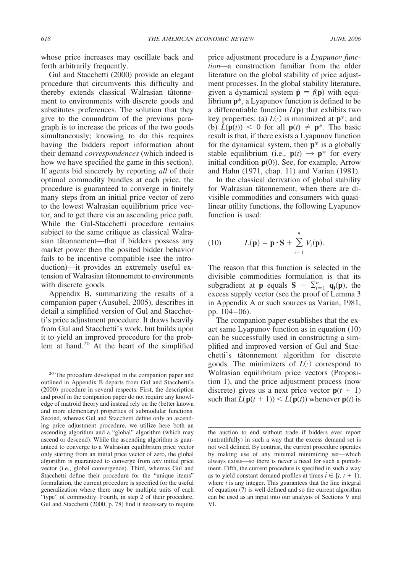whose price increases may oscillate back and forth arbitrarily frequently.

Gul and Stacchetti (2000) provide an elegant procedure that circumvents this difficulty and thereby extends classical Walrasian tâtonnement to environments with discrete goods and substitutes preferences. The solution that they give to the conundrum of the previous paragraph is to increase the prices of the two goods simultaneously; knowing to do this requires having the bidders report information about their demand *correspondences* (which indeed is how we have specified the game in this section). If agents bid sincerely by reporting *all* of their optimal commodity bundles at each price, the procedure is guaranteed to converge in finitely many steps from an initial price vector of zero to the lowest Walrasian equilibrium price vector, and to get there via an ascending price path. While the Gul-Stacchetti procedure remains subject to the same critique as classical Walrasian tâtonnement—that if bidders possess any market power then the posited bidder behavior fails to be incentive compatible (see the introduction)—it provides an extremely useful extension of Walrasian tâtonnement to environments with discrete goods.

Appendix B, summarizing the results of a companion paper (Ausubel, 2005), describes in detail a simplified version of Gul and Stacchetti's price adjustment procedure. It draws heavily from Gul and Stacchetti's work, but builds upon it to yield an improved procedure for the problem at hand.<sup>20</sup> At the heart of the simplified

<sup>20</sup> The procedure developed in the companion paper and outlined in Appendix B departs from Gul and Stacchetti's (2000) procedure in several respects. First, the description and proof in the companion paper do not require any knowledge of matroid theory and instead rely on the (better known and more elementary) properties of submodular functions. Second, whereas Gul and Stacchetti define only an ascending price adjustment procedure, we utilize here both an ascending algorithm and a "global" algorithm (which may ascend or descend). While the ascending algorithm is guaranteed to converge to a Walrasian equilibrium price vector only starting from an initial price vector of zero, the global algorithm is guaranteed to converge from *any* initial price vector (i.e., global convergence). Third, whereas Gul and Stacchetti define their procedure for the "unique items" formulation, the current procedure is specified for the useful generalization where there may be multiple units of each "type" of commodity. Fourth, in step 2 of their procedure, Gul and Stacchetti (2000, p. 78) find it necessary to require

price adjustment procedure is a *Lyapunov function—*a construction familiar from the older literature on the global stability of price adjustment processes. In the global stability literature, given a dynamical system  $\dot{\mathbf{p}} = f(\mathbf{p})$  with equilibrium **p**\*, a Lyapunov function is defined to be a differentiable function  $L(p)$  that exhibits two key properties: (a)  $L(\cdot)$  is minimized at  $p^*$ ; and (b)  $\dot{L}(\mathbf{p}(t)) < 0$  for all  $\mathbf{p}(t) \neq \mathbf{p}^*$ . The basic result is that, if there exists a Lyapunov function for the dynamical system, then **p**\* is a globally stable equilibrium (i.e.,  $\mathbf{p}(t) \rightarrow \mathbf{p}^*$  for every initial condition **p**(0)). See, for example, Arrow and Hahn (1971, chap. 11) and Varian (1981).

In the classical derivation of global stability for Walrasian tâtonnement, when there are divisible commodities and consumers with quasilinear utility functions, the following Lyapunov function is used:

(10) 
$$
L(\mathbf{p}) = \mathbf{p} \cdot \mathbf{S} + \sum_{i=1}^{n} V_i(\mathbf{p}).
$$

The reason that this function is selected in the divisible commodities formulation is that its subgradient at **p** equals **S**  $- \sum_{i=1}^{n} q_i(p)$ , the excess supply vector (see the proof of Lemma 3 in Appendix A or such sources as Varian, 1981, pp. 104 – 06).

The companion paper establishes that the exact same Lyapunov function as in equation (10) can be successfully used in constructing a simplified and improved version of Gul and Stacchetti's tâtonnement algorithm for discrete goods. The minimizers of  $L(\cdot)$  correspond to Walrasian equilibrium price vectors (Proposition 1), and the price adjustment process (now discrete) gives us a next price vector  $p(t + 1)$ such that  $L(\mathbf{p}(t+1)) \le L(\mathbf{p}(t))$  whenever  $\mathbf{p}(t)$  is

the auction to end without trade if bidders ever report (untruthfully) in such a way that the excess demand set is not well defined. By contrast, the current procedure operates by making use of any minimal minimizing set—which always exists—so there is never a need for such a punishment. Fifth, the current procedure is specified in such a way as to yield constant demand profiles at times  $\hat{t} \in [t, t + 1]$ , where *t* is any integer. This guarantees that the line integral of equation (7) is well defined and so the current algorithm can be used as an input into our analysis of Sections V and VI.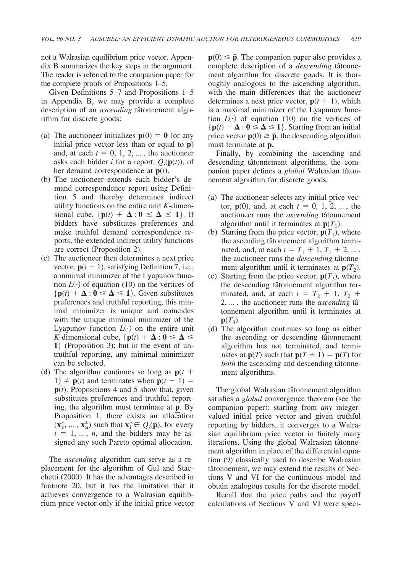not a Walrasian equilibrium price vector. Appendix B summarizes the key steps in the argument. The reader is referred to the companion paper for the complete proofs of Propositions 1–5.

Given Definitions 5–7 and Propositions 1–5 in Appendix B, we may provide a complete description of an *ascending* tâtonnement algorithm for discrete goods:

- (a) The auctioneer initializes  $p(0) = 0$  (or any initial price vector less than or equal to **p**) and, at each  $t = 0, 1, 2, \dots$ , the auctioneer asks each bidder *i* for a report,  $Q_i(\mathbf{p}(t))$ , of her demand correspondence at **p**(*t*).
- (b) The auctioneer extends each bidder's demand correspondence report using Definition 5 and thereby determines indirect utility functions on the entire unit *K*-dimensional cube,  $\{p(t) + \Delta : 0 \leq \Delta \leq 1\}$ . If bidders have substitutes preferences and make truthful demand correspondence reports, the extended indirect utility functions are correct (Proposition 2).
- (c) The auctioneer then determines a next price vector,  $p(t + 1)$ , satisfying Definition 7, i.e., a minimal minimizer of the Lyapunov function  $L(\cdot)$  of equation (10) on the vertices of  ${\bf p}(t) + \Delta : 0 \leq \Delta \leq 1$ . Given substitutes preferences and truthful reporting, this minimal minimizer is unique and coincides with the unique minimal minimizer of the Lyapunov function  $L(\cdot)$  on the entire unit *K*-dimensional cube,  $\{p(t) + \Delta : 0 \le \Delta \le$ **1**} (Proposition 3); but in the event of untruthful reporting, any minimal minimizer can be selected.
- (d) The algorithm continues so long as  $p(t +$ 1)  $\neq$  **p**(*t*) and terminates when **p**(*t* + 1) =  $p(t)$ . Propositions 4 and 5 show that, given substitutes preferences and truthful reporting, the algorithm must terminate at **p**. By Proposition 1, there exists an allocation  $(\mathbf{x}_1^*, \dots, \mathbf{x}_n^*)$  such that  $\mathbf{x}_i^* \in Q_i(\mathbf{p})$ , for every  $i = 1, \ldots, n$ , and the bidders may be assigned any such Pareto optimal allocation.

The *ascending* algorithm can serve as a replacement for the algorithm of Gul and Stacchetti (2000). It has the advantages described in footnote 20, but it has the limitation that it achieves convergence to a Walrasian equilibrium price vector only if the initial price vector

 $p(0) \leq \bar{p}$ . The companion paper also provides a complete description of a *descending* tâtonnement algorithm for discrete goods. It is thoroughly analogous to the ascending algorithm, with the main differences that the auctioneer determines a next price vector,  $p(t + 1)$ , which is a maximal minimizer of the Lyapunov function  $L(\cdot)$  of equation (10) on the vertices of  ${\bf p}(t) - \Delta : 0 \leq \Delta \leq 1$ . Starting from an initial price vector  $p(0) \ge \bar{p}$ , the descending algorithm must terminate at **p**-**.**

Finally, by combining the ascending and descending tâtonnement algorithms, the companion paper defines a *global* Walrasian tâtonnement algorithm for discrete goods:

- (a) The auctioneer selects any initial price vector,  $p(0)$ , and, at each  $t = 0, 1, 2, ...$ , the auctioneer runs the *ascending* tâtonnement algorithm until it terminates at  $p(T_1)$ .
- (b) Starting from the price vector,  $p(T_1)$ , where the ascending tâtonnement algorithm terminated, and, at each  $t = T_1 + 1, T_1 + 2, ...$ , the auctioneer runs the *descending* tâtonnement algorithm until it terminates at  $p(T_2)$ .
- (c) Starting from the price vector,  $p(T_2)$ , where the descending tâtonnement algorithm terminated, and, at each  $t = T_2 + 1$ ,  $T_2$  + 2, ..., the auctioneer runs the *ascending* tâtonnement algorithm until it terminates at  $p(T_3)$ .
- (d) The algorithm continues so long as either the ascending or descending tâtonnement algorithm has not terminated, and terminates at  $p(T)$  such that  $p(T + 1) = p(T)$  for *both* the ascending and descending tâtonnement algorithms.

The global Walrasian tâtonnement algorithm satisfies a *global* convergence theorem (see the companion paper): starting from *any* integervalued initial price vector and given truthful reporting by bidders, it converges to a Walrasian equilibrium price vector in finitely many iterations. Using the global Walrasian tâtonnement algorithm in place of the differential equation (9) classically used to describe Walrasian tâtonnement, we may extend the results of Sections V and VI for the continuous model and obtain analogous results for the discrete model.

Recall that the price paths and the payoff calculations of Sections V and VI were speci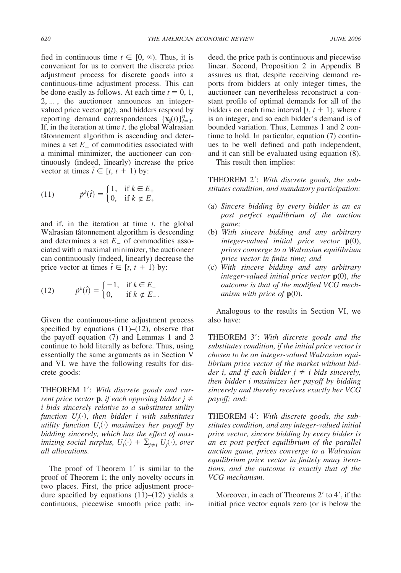fied in continuous time  $t \in [0, \infty)$ . Thus, it is convenient for us to convert the discrete price adjustment process for discrete goods into a continuous-time adjustment process. This can be done easily as follows. At each time  $t = 0, 1$ , 2, ... , the auctioneer announces an integervalued price vector  $p(t)$ , and bidders respond by reporting demand correspondences  $\{x_i(t)\}_{i=1}^n$ . If, in the iteration at time *t*, the global Walrasian tâtonnement algorithm is ascending and determines a set  $E_{+}$  of commodities associated with a minimal minimizer, the auctioneer can continuously (indeed, linearly) increase the price vector at times  $\hat{t} \in [t, t + 1)$  by:

(11) 
$$
p^k(\hat{t}) = \begin{cases} 1, & \text{if } k \in E_+ \\ 0, & \text{if } k \notin E_+ \end{cases}
$$

and if, in the iteration at time *t*, the global Walrasian tâtonnement algorithm is descending and determines a set  $E_{-}$  of commodities associated with a maximal minimizer, the auctioneer can continuously (indeed, linearly) decrease the price vector at times  $\hat{t} \in [t, t + 1)$  by:

(12) 
$$
\dot{p}^k(\hat{t}) = \begin{cases} -1, & \text{if } k \in E_- \\ 0, & \text{if } k \notin E_- . \end{cases}
$$

Given the continuous-time adjustment process specified by equations  $(11)$ – $(12)$ , observe that the payoff equation (7) and Lemmas 1 and 2 continue to hold literally as before. Thus, using essentially the same arguments as in Section V and VI, we have the following results for discrete goods:

THEOREM 1': With discrete goods and cur*rent price vector* **p**, *if each opposing bidder*  $j \neq j$ *i bids sincerely relative to a substitutes utility function Uj* , *then bidder i with substitutes utility function Ui maximizes her payoff by bidding sincerely, which has the effect of maximizing social surplus,*  $U_i(\cdot) + \sum_{j \neq i}^{\infty} U_j(\cdot)$ , over *all allocations.*

The proof of Theorem  $1'$  is similar to the proof of Theorem 1; the only novelty occurs in two places. First, the price adjustment procedure specified by equations  $(11)–(12)$  yields a continuous, piecewise smooth price path; indeed, the price path is continuous and piecewise linear. Second, Proposition 2 in Appendix B assures us that, despite receiving demand reports from bidders at only integer times, the auctioneer can nevertheless reconstruct a constant profile of optimal demands for all of the bidders on each time interval  $[t, t + 1)$ , where *t* is an integer, and so each bidder's demand is of bounded variation. Thus, Lemmas 1 and 2 continue to hold. In particular, equation (7) continues to be well defined and path independent, and it can still be evaluated using equation (8).

This result then implies:

THEOREM 2': With discrete goods, the sub*stitutes condition, and mandatory participation:*

- (a) *Sincere bidding by every bidder is an ex post perfect equilibrium of the auction game;*
- (b) *With sincere bidding and any arbitrary integer-valued initial price vector* **p**(0), *prices converge to a Walrasian equilibrium price vector in finite time; and*
- (c) *With sincere bidding and any arbitrary integer-valued initial price vector* **p**(0), *the outcome is that of the modified VCG mechanism with price of* **p**(0).

Analogous to the results in Section VI, we also have:

THEOREM 3': With discrete goods and the *substitutes condition, if the initial price vector is chosen to be an integer-valued Walrasian equilibrium price vector of the market without bidder i*, *and if each bidder j i bids sincerely, then bidder i maximizes her payoff by bidding sincerely and thereby receives exactly her VCG payoff; and:*

THEOREM 4': With discrete goods, the sub*stitutes condition, and any integer-valued initial price vector, sincere bidding by every bidder is an ex post perfect equilibrium of the parallel auction game, prices converge to a Walrasian equilibrium price vector in finitely many iterations, and the outcome is exactly that of the VCG mechanism.*

Moreover, in each of Theorems 2' to 4', if the initial price vector equals zero (or is below the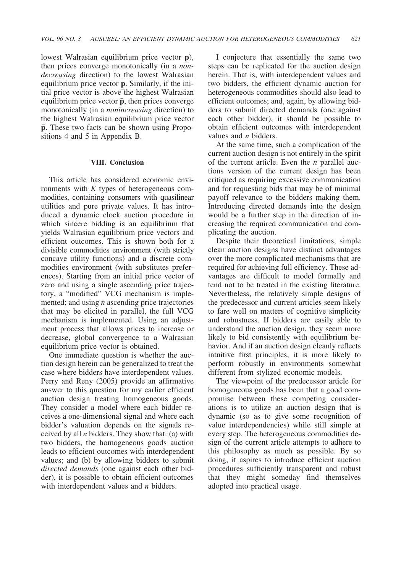lowest Walrasian equilibrium price vector **p**), then prices converge monotonically (in a *nondecreasing* direction) to the lowest Walrasian equilibrium price vector **p**. Similarly, if the initial price vector is above the highest Walrasian equilibrium price vector  $\bar{p}$ , then prices converge monotonically (in a *nonincreasing* direction) to the highest Walrasian equilibrium price vector  $\bar{p}$ . These two facts can be shown using Propositions 4 and 5 in Appendix B.

#### **VIII. Conclusion**

This article has considered economic environments with *K* types of heterogeneous commodities, containing consumers with quasilinear utilities and pure private values. It has introduced a dynamic clock auction procedure in which sincere bidding is an equilibrium that yields Walrasian equilibrium price vectors and efficient outcomes. This is shown both for a divisible commodities environment (with strictly concave utility functions) and a discrete commodities environment (with substitutes preferences). Starting from an initial price vector of zero and using a single ascending price trajectory, a "modified" VCG mechanism is implemented; and using *n* ascending price trajectories that may be elicited in parallel, the full VCG mechanism is implemented. Using an adjustment process that allows prices to increase or decrease, global convergence to a Walrasian equilibrium price vector is obtained.

One immediate question is whether the auction design herein can be generalized to treat the case where bidders have interdependent values. Perry and Reny (2005) provide an affirmative answer to this question for my earlier efficient auction design treating homogeneous goods. They consider a model where each bidder receives a one-dimensional signal and where each bidder's valuation depends on the signals received by all *n* bidders. They show that: (a) with two bidders, the homogeneous goods auction leads to efficient outcomes with interdependent values; and (b) by allowing bidders to submit *directed demands* (one against each other bidder), it is possible to obtain efficient outcomes with interdependent values and *n* bidders.

I conjecture that essentially the same two steps can be replicated for the auction design herein. That is, with interdependent values and two bidders, the efficient dynamic auction for heterogeneous commodities should also lead to efficient outcomes; and, again, by allowing bidders to submit directed demands (one against each other bidder), it should be possible to obtain efficient outcomes with interdependent values and *n* bidders.

At the same time, such a complication of the current auction design is not entirely in the spirit of the current article. Even the *n* parallel auctions version of the current design has been critiqued as requiring excessive communication and for requesting bids that may be of minimal payoff relevance to the bidders making them. Introducing directed demands into the design would be a further step in the direction of increasing the required communication and complicating the auction.

Despite their theoretical limitations, simple clean auction designs have distinct advantages over the more complicated mechanisms that are required for achieving full efficiency. These advantages are difficult to model formally and tend not to be treated in the existing literature. Nevertheless, the relatively simple designs of the predecessor and current articles seem likely to fare well on matters of cognitive simplicity and robustness. If bidders are easily able to understand the auction design, they seem more likely to bid consistently with equilibrium behavior. And if an auction design cleanly reflects intuitive first principles, it is more likely to perform robustly in environments somewhat different from stylized economic models.

The viewpoint of the predecessor article for homogeneous goods has been that a good compromise between these competing considerations is to utilize an auction design that is dynamic (so as to give some recognition of value interdependencies) while still simple at every step. The heterogeneous commodities design of the current article attempts to adhere to this philosophy as much as possible. By so doing, it aspires to introduce efficient auction procedures sufficiently transparent and robust that they might someday find themselves adopted into practical usage.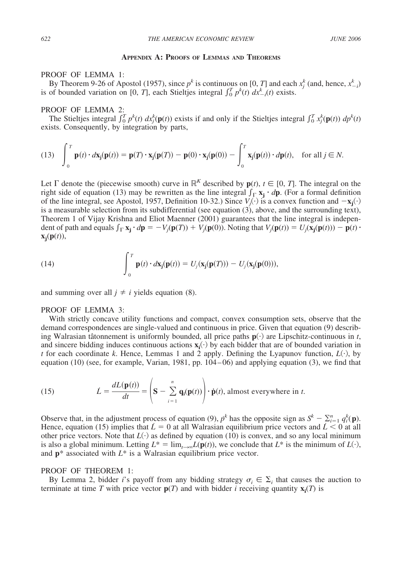#### **APPENDIX A: PROOFS OF LEMMAS AND THEOREMS**

#### PROOF OF LEMMA 1:

By Theorem 9-26 of Apostol (1957), since  $p^k$  is continuous on [0, *T*] and each  $x_j^k$  (and, hence,  $x_{-i}^k$ ) is of bounded variation on [0, *T*], each Stieltjes integral  $\int_0^T p^k(t) dx_{-i}^k(t)$  exists.

#### PROOF OF LEMMA 2:

The Stieltjes integral  $\int_0^T p^k(t) dx_j^k(\mathbf{p}(t))$  exists if and only if the Stieltjes integral  $\int_0^T x_j^k(\mathbf{p}(t)) dy^k(t)$ exists. Consequently, by integration by parts,

(13) 
$$
\int_0^T \mathbf{p}(t) \cdot d\mathbf{x}_j(\mathbf{p}(t)) = \mathbf{p}(T) \cdot \mathbf{x}_j(\mathbf{p}(T)) - \mathbf{p}(0) \cdot \mathbf{x}_j(\mathbf{p}(0)) - \int_0^T \mathbf{x}_j(\mathbf{p}(t)) \cdot d\mathbf{p}(t), \text{ for all } j \in \mathbb{N}.
$$

Let  $\Gamma$  denote the (piecewise smooth) curve in  $\mathbb{R}^K$  described by  $p(t)$ ,  $t \in [0, T]$ . The integral on the right side of equation (13) may be rewritten as the line integral  $\int_{\Gamma} x_j \cdot dp$ . (For a formal definition of the line integral, see Apostol, 1957, Definition 10-32.) Since  $V_j(\cdot)$  is a convex function and  $-\mathbf{x}_j(\cdot)$ is a measurable selection from its subdifferential (see equation (3), above, and the surrounding text), Theorem 1 of Vijay Krishna and Eliot Maenner (2001) guarantees that the line integral is independent of path and equals  $\int_{\Gamma} \mathbf{x}_j \cdot d\mathbf{p} = -V_j(\mathbf{p}(T)) + V_j(\mathbf{p}(0))$ . Noting that  $V_j(\mathbf{p}(t)) = U_j(\mathbf{x}_j(\mathbf{p}(t))) - \mathbf{p}(t)$ . **xj** (**p**(*t*)),

(14) 
$$
\int_0^T \mathbf{p}(t) \cdot d\mathbf{x_j}(\mathbf{p}(t)) = U_j(\mathbf{x_j}(\mathbf{p}(T))) - U_j(\mathbf{x_j}(\mathbf{p}(0))),
$$

and summing over all  $j \neq i$  yields equation (8).

# PROOF OF LEMMA 3:

With strictly concave utility functions and compact, convex consumption sets, observe that the demand correspondences are single-valued and continuous in price. Given that equation (9) describing Walrasian tâtonnement is uniformly bounded, all price paths  $\mathbf{p}(\cdot)$  are Lipschitz-continuous in *t*, and sincere bidding induces continuous actions  $\mathbf{x}_i(\cdot)$  by each bidder that are of bounded variation in *t* for each coordinate *k*. Hence, Lemmas 1 and 2 apply. Defining the Lyapunov function,  $L(\cdot)$ , by equation (10) (see, for example, Varian, 1981, pp.  $104-06$ ) and applying equation (3), we find that

(15) 
$$
\dot{L} = \frac{dL(\mathbf{p}(t))}{dt} = \left(\mathbf{S} - \sum_{i=1}^{n} \mathbf{q}_i(\mathbf{p}(t))\right) \cdot \dot{\mathbf{p}}(t), \text{ almost everywhere in } t.
$$

Observe that, in the adjustment process of equation (9),  $p^k$  has the opposite sign as  $S^k - \sum_{i=1}^n q_i^k(\mathbf{p})$ . Hence, equation (15) implies that  $\dot{L} = 0$  at all Walrasian equilibrium price vectors and  $\dot{L} < 0$  at all other price vectors. Note that  $L(\cdot)$  as defined by equation (10) is convex, and so any local minimum is also a global minimum. Letting  $L^* = \lim_{t \to \infty} L(\mathbf{p}(t))$ , we conclude that  $L^*$  is the minimum of  $L(\cdot)$ , and **p**\* associated with *L*\* is a Walrasian equilibrium price vector.

# PROOF OF THEOREM 1:

By Lemma 2, bidder *i*'s payoff from any bidding strategy  $\sigma_i \in \Sigma_i$  that causes the auction to terminate at time *T* with price vector  $p(T)$  and with bidder *i* receiving quantity  $\mathbf{x}_i(T)$  is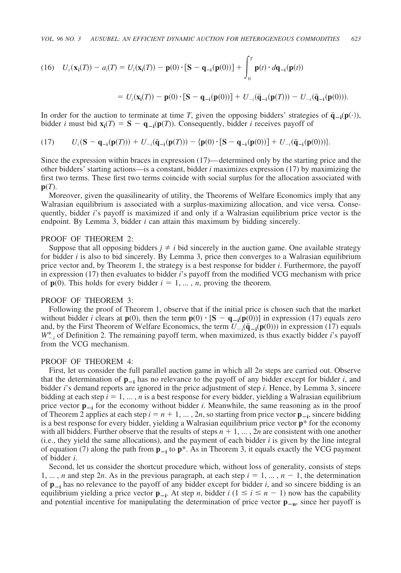(16) 
$$
U_i(\mathbf{x_i}(T)) - a_i(T) = U_i(\mathbf{x_i}(T)) - \mathbf{p}(0) \cdot [\mathbf{S} - \mathbf{q_{-i}}(\mathbf{p}(0))] + \int_0^T \mathbf{p}(t) \cdot d\mathbf{q_{-i}}(\mathbf{p}(t))
$$

$$
= U_i(\mathbf{x_i}(T)) - \mathbf{p}(0) \cdot [\mathbf{S} - \mathbf{q_{-i}}(\mathbf{p}(0))] + U_{-i}(\bar{\mathbf{q}}_{-i}(\mathbf{p}(T))) - U_{-i}(\bar{\mathbf{q}}_{-i}(\mathbf{p}(0))).
$$

In order for the auction to terminate at time *T*, given the opposing bidders' strategies of  $\bar{\mathbf{q}}_{-i}(\mathbf{p}(\cdot))$ , bidder *i* must bid  $\mathbf{x}_i(T) = \mathbf{S} - \mathbf{q}_{-i}(\mathbf{p}(T))$ . Consequently, bidder *i* receives payoff of

$$
(17) \tU_i(\mathbf{S} - \mathbf{q}_{-i}(\mathbf{p}(T))) + U_{-i}(\bar{\mathbf{q}}_{-i}(\mathbf{p}(T))) - {\mathbf{p}(0) \cdot [\mathbf{S} - \mathbf{q}_{-i}(\mathbf{p}(0))] + U_{-i}(\bar{\mathbf{q}}_{-i}(\mathbf{p}(0)))}.
$$

Since the expression within braces in expression (17)— determined only by the starting price and the other bidders' starting actions—is a constant, bidder *i* maximizes expression (17) by maximizing the first two terms. These first two terms coincide with social surplus for the allocation associated with **p**(*T*).

Moreover, given the quasilinearity of utility, the Theorems of Welfare Economics imply that any Walrasian equilibrium is associated with a surplus-maximizing allocation, and vice versa. Consequently, bidder *i*'s payoff is maximized if and only if a Walrasian equilibrium price vector is the endpoint. By Lemma 3, bidder *i* can attain this maximum by bidding sincerely.

# PROOF OF THEOREM 2:

Suppose that all opposing bidders  $j \neq i$  bid sincerely in the auction game. One available strategy for bidder  $i$  is also to bid sincerely. By Lemma 3, price then converges to a Walrasian equilibrium price vector and, by Theorem 1, the strategy is a best response for bidder *i*. Furthermore, the payoff in expression (17) then evaluates to bidder *i*'s payoff from the modified VCG mechanism with price of  $p(0)$ . This holds for every bidder  $i = 1, ..., n$ , proving the theorem.

#### PROOF OF THEOREM 3:

Following the proof of Theorem 1, observe that if the initial price is chosen such that the market without bidder *i* clears at  $\mathbf{p}(0)$ , then the term  $\mathbf{p}(0) \cdot [\mathbf{S} - \mathbf{q}_{-i}(\mathbf{p}(0))]$  in expression (17) equals zero and, by the First Theorem of Welfare Economics, the term  $U_{-i}(\bar{\mathbf{q}}_{-i}(\mathbf{p}(0)))$  in expression (17) equals  $W^*_{-i}$  of Definition 2. The remaining payoff term, when maximized, is thus exactly bidder *i*'s payoff from the VCG mechanism.

#### PROOF OF THEOREM 4:

First, let us consider the full parallel auction game in which all 2*n* steps are carried out. Observe that the determination of  $\mathbf{p}_{-i}$  has no relevance to the payoff of any bidder except for bidder *i*, and bidder *i*'s demand reports are ignored in the price adjustment of step *i*. Hence, by Lemma 3, sincere bidding at each step  $i = 1, \dots, n$  is a best response for every bidder, yielding a Walrasian equilibrium price vector  $\mathbf{p}_{-i}$  for the economy without bidder *i*. Meanwhile, the same reasoning as in the proof of Theorem 2 applies at each step  $i = n + 1, \dots, 2n$ , so starting from price vector  $\mathbf{p}_{-i}$ , sincere bidding is a best response for every bidder, yielding a Walrasian equilibrium price vector **p**\* for the economy with all bidders. Further observe that the results of steps  $n + 1, \ldots, 2n$  are consistent with one another (i.e., they yield the same allocations), and the payment of each bidder *i* is given by the line integral of equation (7) along the path from  $\mathbf{p}_{-i}$  to  $\mathbf{p}^*$ . As in Theorem 3, it equals exactly the VCG payment of bidder *i*.

Second, let us consider the shortcut procedure which, without loss of generality, consists of steps 1, ..., *n* and step 2*n*. As in the previous paragraph, at each step  $i = 1, ..., n - 1$ , the determination of  $\mathbf{p}_{-i}$  has no relevance to the payoff of any bidder except for bidder *i*, and so sincere bidding is an equilibrium yielding a price vector  $\mathbf{p}_{-i}$ . At step *n*, bidder *i*  $(1 \le i \le n - 1)$  now has the capability and potential incentive for manipulating the determination of price vector  $\mathbf{p}_{-n}$ , since her payoff is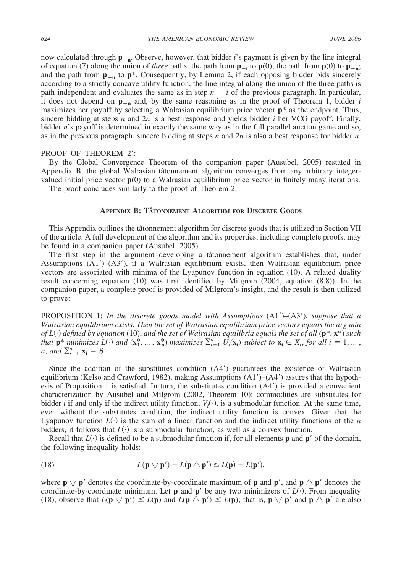now calculated through  $\mathbf{p}_{n}$ . Observe, however, that bidder *i*'s payment is given by the line integral of equation (7) along the union of *three* paths: the path from  $\mathbf{p}_{-i}$  to  $\mathbf{p}(0)$ ; the path from  $\mathbf{p}(0)$  to  $\mathbf{p}_{-n}$ ; and the path from  $\mathbf{p}_{-n}$  to  $\mathbf{p}^*$ . Consequently, by Lemma 2, if each opposing bidder bids sincerely according to a strictly concave utility function, the line integral along the union of the three paths is path independent and evaluates the same as in step  $n + i$  of the previous paragraph. In particular, it does not depend on  $\mathbf{p}_{-n}$  and, by the same reasoning as in the proof of Theorem 1, bidder *i* maximizes her payoff by selecting a Walrasian equilibrium price vector **p**\* as the endpoint. Thus, sincere bidding at steps *n* and 2*n* is a best response and yields bidder *i* her VCG payoff. Finally, bidder *n*'s payoff is determined in exactly the same way as in the full parallel auction game and so, as in the previous paragraph, sincere bidding at steps *n* and 2*n* is also a best response for bidder *n*.

# PROOF OF THEOREM 2':

By the Global Convergence Theorem of the companion paper (Ausubel, 2005) restated in Appendix B, the global Walrasian tâtonnement algorithm converges from any arbitrary integervalued initial price vector **p**(0) to a Walrasian equilibrium price vector in finitely many iterations. The proof concludes similarly to the proof of Theorem 2.

#### **APPENDIX B: TAˆTONNEMENT ALGORITHM FOR DISCRETE GOODS**

This Appendix outlines the tâtonnement algorithm for discrete goods that is utilized in Section VII of the article. A full development of the algorithm and its properties, including complete proofs, may be found in a companion paper (Ausubel, 2005).

The first step in the argument developing a tâtonnement algorithm establishes that, under Assumptions  $(A1')-(A3')$ , if a Walrasian equilibrium exists, then Walrasian equilibrium price vectors are associated with minima of the Lyapunov function in equation (10). A related duality result concerning equation (10) was first identified by Milgrom (2004, equation (8.8)). In the companion paper, a complete proof is provided of Milgrom's insight, and the result is then utilized to prove:

PROPOSITION 1: *In the discrete goods model with Assumptions* (A1')–(A3'), *suppose that a Walrasian equilibrium exists. Then the set of Walrasian equilibrium price vectors equals the arg min of L defined by equation* (10), *and the set of Walrasian equilibria equals the set of all* (**p**\*, **x**\*) *such that*  $\mathbf{p}^*$  *minimizes*  $\hat{L}(\cdot)$  *and*  $(\mathbf{x}_1^*, \dots, \mathbf{x}_n^*)$  *maximizes*  $\sum_{i=1}^n U_i(\mathbf{x}_i)$  *subject to*  $\mathbf{x}_i \in X_i$ , *for all*  $i = 1, \dots, n$ *n*, and  $\sum_{i=1}^{n}$  **x**<sub>i</sub> = **S**.

Since the addition of the substitutes condition  $(A4')$  guarantees the existence of Walrasian equilibrium (Kelso and Crawford, 1982), making Assumptions (A1')–(A4') assures that the hypothesis of Proposition 1 is satisfied. In turn, the substitutes condition (A4-) is provided a convenient characterization by Ausubel and Milgrom (2002, Theorem 10): commodities are substitutes for bidder *i* if and only if the indirect utility function,  $V_i(\cdot)$ , is a submodular function. At the same time, even without the substitutes condition, the indirect utility function is convex. Given that the Lyapunov function  $L(\cdot)$  is the sum of a linear function and the indirect utility functions of the *n* bidders, it follows that  $L(\cdot)$  is a submodular function, as well as a convex function.

Recall that  $L(\cdot)$  is defined to be a submodular function if, for all elements **p** and **p**<sup> $\prime$ </sup> of the domain, the following inequality holds:

(18) 
$$
L(\mathbf{p} \vee \mathbf{p}') + L(\mathbf{p} \wedge \mathbf{p}') \leq L(\mathbf{p}) + L(\mathbf{p}'),
$$

where  $\mathbf{p} \vee \mathbf{p}'$  denotes the coordinate-by-coordinate maximum of **p** and **p**', and **p**  $\wedge$  **p**' denotes the coordinate-by-coordinate minimum. Let **p** and **p**<sup> $\prime$ </sup> be any two minimizers of  $L(\cdot)$ . From inequality (18), observe that  $L(\mathbf{p} \vee \mathbf{p}') \le L(\mathbf{p})$  and  $L(\mathbf{p} \wedge \mathbf{p}') \le L(\mathbf{p})$ ; that is,  $\mathbf{p} \vee \mathbf{p}'$  and  $\mathbf{p} \wedge \mathbf{p}'$  are also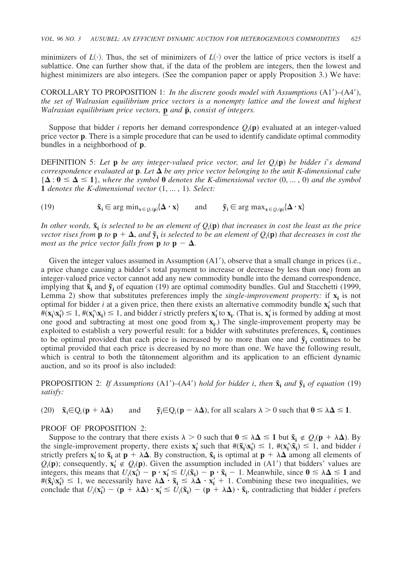minimizers of  $L(\cdot)$ . Thus, the set of minimizers of  $L(\cdot)$  over the lattice of price vectors is itself a sublattice. One can further show that, if the data of the problem are integers, then the lowest and highest minimizers are also integers. (See the companion paper or apply Proposition 3.) We have:

COROLLARY TO PROPOSITION 1: In the discrete goods model with Assumptions (A1')–(A4'), *the set of Walrasian equilibrium price vectors is a nonempty lattice and the lowest and highest Walrasian equilibrium price vectors, p and*  $\bar{p}$ *, consist of integers.* 

Suppose that bidder *i* reports her demand correspondence  $Q_i(\mathbf{p})$  evaluated at an integer-valued price vector **p**. There is a simple procedure that can be used to identify candidate optimal commodity bundles in a neighborhood of **p**.

DEFINITION 5: *Let* **p** *be any integer-valued price vector, and let Qi* (**p**) *be bidder i*'*s demand correspondence evaluated at* **p**. *Let be any price vector belonging to the unit K*-*dimensional cube*  ${\{\Delta : 0 \leq \Delta \leq 1\}}$ , where the symbol **0** denotes the K-dimensional vector  $(0, ..., 0)$  and the symbol **1** *denotes the K*-*dimensional vector* (1, ... , 1). *Select:*

(19)  $\tilde{\mathbf{x}}_i \in \arg \min_{\mathbf{x} \in \mathcal{Q}_i(\mathbf{p})} \{ \mathbf{\Delta} \cdot \mathbf{x} \}$  and  $\tilde{\mathbf{y}}_i \in \arg \max_{\mathbf{x} \in \mathcal{Q}_i(\mathbf{p})} \{ \mathbf{\Delta} \cdot \mathbf{x} \}$ 

In other words,  $\tilde{\mathbf{x}}_i$  is selected to be an element of  $Q_i(\mathbf{p})$  that increases in cost the least as the price *vector rises from*  $\bf{p}$  *to*  $\bf{p} + \Delta$ , and  $\tilde{\bf{y}}_i$  is selected to be an element of  $Q_i(\bf{p})$  that decreases in cost the *most as the price vector falls from* **p** *to* **p**  $\Delta$ *.* 

Given the integer values assumed in Assumption (A1'), observe that a small change in prices (i.e., a price change causing a bidder's total payment to increase or decrease by less than one) from an integer-valued price vector cannot add any new commodity bundle into the demand correspondence, implying that  $\tilde{\mathbf{x}}_i$  and  $\tilde{\mathbf{y}}_i$  of equation (19) are optimal commodity bundles. Gul and Stacchetti (1999, Lemma 2) show that substitutes preferences imply the *single-improvement property:* if **xi** is not optimal for bidder *i* at a given price, then there exists an alternative commodity bundle  $\mathbf{x}'_i$  such that  $\#(\mathbf{x}_i \setminus \mathbf{x}_i') \leq 1$ ,  $\#(\mathbf{x}_i' \setminus \mathbf{x}_i) \leq 1$ , and bidder *i* strictly prefers  $\mathbf{x}_i'$  to  $\mathbf{x}_i$ . (That is,  $\mathbf{x}_i'$  is formed by adding at most one good and subtracting at most one good from  $x_i$ .) The single-improvement property may be exploited to establish a very powerful result: for a bidder with substitutes preferences,  $\tilde{\mathbf{x}}_i$  continues to be optimal provided that each price is increased by no more than one and  $\tilde{y}_i$  continues to be optimal provided that each price is decreased by no more than one. We have the following result, which is central to both the tâtonnement algorithm and its application to an efficient dynamic auction, and so its proof is also included:

PROPOSITION 2: If Assumptions (A1')–(A4') hold for bidder i, then  $\tilde{\mathbf{x}}_i$  and  $\tilde{\mathbf{y}}_i$  of equation (19) *satisfy:*

 $(20)$   $\tilde{\mathbf{x}}_i \in \mathbf{Q}_i (\mathbf{p} + \lambda \Delta)$  and  $\tilde{\mathbf{y}}_i \in \mathbf{Q}_i(\mathbf{p} - \lambda \Delta)$ , for all scalars  $\lambda > 0$  such that  $0 \leq \lambda \Delta \leq 1$ .

PROOF OF PROPOSITION 2:

Suppose to the contrary that there exists  $\lambda > 0$  such that  $0 \leq \lambda \Delta \leq 1$  but  $\tilde{\mathbf{x}}_i \notin Q_i(\mathbf{p} + \lambda \Delta)$ . By the single-improvement property, there exists  $\mathbf{x}_i$  such that  $\#(\tilde{\mathbf{x}}_i \setminus \mathbf{x}_i) \leq 1$ ,  $\#(\mathbf{x}_i' \setminus \tilde{\mathbf{x}}_i) \leq 1$ , and bidder *i* strictly prefers  $x'_i$  to  $\tilde{x}_i$  at  $p + \lambda \Delta$ . By construction,  $\tilde{x}_i$  is optimal at  $p + \lambda \Delta$  among all elements of  $Q_i(\mathbf{p})$ ; consequently,  $\mathbf{x}_i' \notin Q_i(\mathbf{p})$ . Given the assumption included in (A1') that bidders' values are integers, this means that  $U_i(\mathbf{x_i}) - \mathbf{p} \cdot \mathbf{x_i'} \leq U_i(\mathbf{\tilde{x}_i}) - \mathbf{p} \cdot \mathbf{\tilde{x}_i} - 1$ . Meanwhile, since  $0 \leq \lambda \Delta \leq 1$  and  $\#\{(\tilde{x}_i \setminus x_i')\} \leq 1$ , we necessarily have  $\lambda \Delta \cdot \tilde{x}_i \leq \lambda \Delta \cdot x'_i + 1$ . Combining these two inequalities, we conclude that  $U_i(\mathbf{x}_i') - (\mathbf{p} + \lambda \Delta) \cdot \mathbf{x}_i' \leq U_i(\tilde{\mathbf{x}}_i) - (\mathbf{p} + \lambda \Delta) \cdot \tilde{\mathbf{x}}_i$ , contradicting that bidder *i* prefers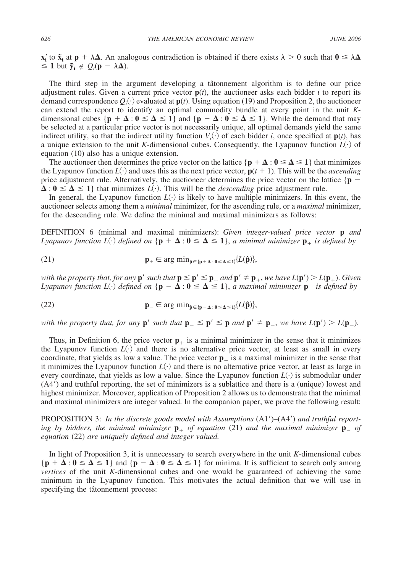$\mathbf{x}_i'$  to  $\tilde{\mathbf{x}}_i$  at  $\mathbf{p} + \lambda \Delta$ . An analogous contradiction is obtained if there exists  $\lambda > 0$  such that  $\mathbf{0} \leq \lambda \Delta$  $\leq 1$  but  $\tilde{\mathbf{y}}_i \notin Q_i(\mathbf{p} - \lambda \Delta)$ .

The third step in the argument developing a tâtonnement algorithm is to define our price adjustment rules. Given a current price vector  $p(t)$ , the auctioneer asks each bidder *i* to report its demand correspondence  $Q_i(\cdot)$  evaluated at  $\mathbf{p}(t)$ . Using equation (19) and Proposition 2, the auctioneer can extend the report to identify an optimal commodity bundle at every point in the unit *K*dimensional cubes  ${\bf p} + \Delta : 0 \le \Delta \le 1$  and  ${\bf p} - \Delta : 0 \le \Delta \le 1$ . While the demand that may be selected at a particular price vector is not necessarily unique, all optimal demands yield the same indirect utility, so that the indirect utility function  $V_i(\cdot)$  of each bidder *i*, once specified at  $p(t)$ , has a unique extension to the unit *K*-dimensional cubes. Consequently, the Lyapunov function  $L(\cdot)$  of equation (10) also has a unique extension.

The auctioneer then determines the price vector on the lattice  $\{p + \Delta : 0 \le \Delta \le 1\}$  that minimizes the Lyapunov function  $L(\cdot)$  and uses this as the next price vector,  $p(t + 1)$ . This will be the *ascending* price adjustment rule. Alternatively, the auctioneer determines the price vector on the lattice  $\{p - \}$  $\Delta$  :  $0 \leq \Delta \leq 1$ } that minimizes *L*(·). This will be the *descending* price adjustment rule.

In general, the Lyapunov function  $L(\cdot)$  is likely to have multiple minimizers. In this event, the auctioneer selects among them a *minimal* minimizer, for the ascending rule, or a *maximal* minimizer, for the descending rule. We define the minimal and maximal minimizers as follows:

DEFINITION 6 (minimal and maximal minimizers): *Given integer-valued price vector* **p** *and Lyapunov function L(·) defined on* { $\mathbf{p} + \Delta : \mathbf{0} \leq \Delta \leq 1$ }, *a minimal minimizer*  $\mathbf{p}_+$  *is defined by* 

(21) 
$$
\mathbf{p}_{+} \in \arg \min_{\hat{\mathbf{p}} \in \{\mathbf{p} + \mathbf{\Delta} : \mathbf{0} \leq \mathbf{\Delta} \leq 1\}} \{L(\hat{\mathbf{p}})\},
$$

*with the property that, for any*  $p'$  *such that*  $p \leq p' \leq p_+$  *and*  $p' \neq p_+$ *, we have*  $L(p') > L(p_+)$ *. Given Lyapunov function L(* $\cdot$ *) defined on* { $\mathbf{p} - \Delta : \mathbf{0} \leq \Delta \leq 1$ }, *a maximal minimizer*  $\mathbf{p}_-$  *is defined by* 

(22) 
$$
\mathbf{p}_{-} \in \arg \min_{\hat{\mathbf{p}} \in \{\mathbf{p} - \Delta : 0 \leq \Delta \leq 1\}} \{L(\hat{\mathbf{p}})\},
$$

*with the property that, for any*  $\mathbf{p}'$  *such that*  $\mathbf{p}_- \leq \mathbf{p}' \leq \mathbf{p}$  *and*  $\mathbf{p}' \neq \mathbf{p}_-$ *, we have*  $L(\mathbf{p}') > L(\mathbf{p}_-)$ *.* 

Thus, in Definition 6, the price vector  $\mathbf{p}_+$  is a minimal minimizer in the sense that it minimizes the Lyapunov function  $L(\cdot)$  and there is no alternative price vector, at least as small in every coordinate, that yields as low a value. The price vector  $\mathbf{p}_-$  is a maximal minimizer in the sense that it minimizes the Lyapunov function  $L(\cdot)$  and there is no alternative price vector, at least as large in every coordinate, that yields as low a value. Since the Lyapunov function  $L(\cdot)$  is submodular under (A4') and truthful reporting, the set of minimizers is a sublattice and there is a (unique) lowest and highest minimizer. Moreover, application of Proposition 2 allows us to demonstrate that the minimal and maximal minimizers are integer valued. In the companion paper, we prove the following result:

PROPOSITION 3: In the discrete goods model with Assumptions (A1')–(A4') and truthful report*ing by bidders, the minimal minimizer*  $\mathbf{p}_+$  *of equation* (21) *and the maximal minimizer*  $\mathbf{p}_-$  *of equation* (22) *are uniquely defined and integer valued.*

In light of Proposition 3, it is unnecessary to search everywhere in the unit *K*-dimensional cubes  ${\bf p} + \Delta : 0 \le \Delta \le 1$  and  ${\bf p} - \Delta : 0 \le \Delta \le 1$  for minima. It is sufficient to search only among *vertices* of the unit *K*-dimensional cubes and one would be guaranteed of achieving the same minimum in the Lyapunov function. This motivates the actual definition that we will use in specifying the tâtonnement process: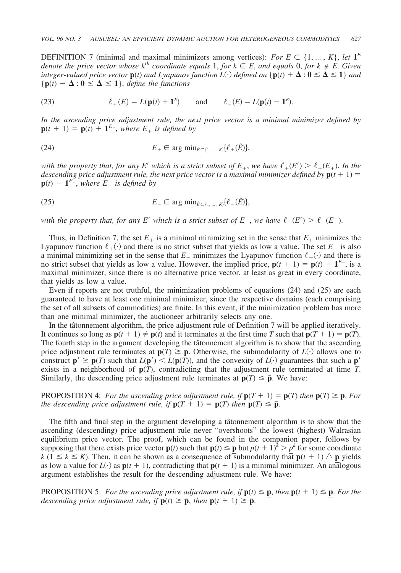DEFINITION 7 (minimal and maximal minimizers among vertices): *For E*  $\subset$  {1, ..., *K*}, *let* **1**<sup>*E*</sup> *denote the price vector whose*  $k^{th}$  *coordinate equals* 1, *for*  $k \in E$ , *and equals* 0, *for*  $k \notin E$ . *Given integer-valued price vector* **p**(*t*) *and Lyapunov function L(·) defined on* { $p(t) + \Delta : 0 \le \Delta \le 1$ } *and*  ${\bf p}(t) - \Delta : 0 \leq \Delta \leq 1$ , *define the functions* 

(23) 
$$
\ell_+(E) = L(\mathbf{p}(t) + \mathbf{1}^E)
$$
 and  $\ell_-(E) = L(\mathbf{p}(t) - \mathbf{1}^E)$ .

*In the ascending price adjustment rule, the next price vector is a minimal minimizer defined by*  $p(t + 1) = p(t) + 1^{E_+}$ , where  $E_+$  is defined by

(24) 
$$
E_{+} \in \arg \min_{\hat{E} \subset \{1, ..., K\}} \{\ell_{+}(\hat{E})\},
$$

*with the property that, for any*  $E'$  *which is a strict subset of*  $E_+$ *, we have*  $\ell_+(E') > \ell_+(E_+)$ *. In the descending price adjustment rule, the next price vector is a maximal minimizer defined by*  $p(t + 1)$  =  $\mathbf{p}(t) - \mathbf{1}^{E^{\text{C}}-t}$ , where  $E_{-}$  is defined by

$$
(25) \t\t\t E_{-} \in \arg\min_{\hat{E} \subset \{1, \ldots, K\}} \{\ell_{-}(\hat{E})\},
$$

*with the property that, for any*  $E'$  *which is a strict subset of*  $E_$ , *we have*  $\ell_-(E') > \ell_-(E_-)$ *.* 

Thus, in Definition 7, the set  $E_+$  is a minimal minimizing set in the sense that  $E_+$  minimizes the Lyapunov function  $\ell_+(\cdot)$  and there is no strict subset that yields as low a value. The set  $E_{-}$  is also a minimal minimizing set in the sense that  $E_{-}$  minimizes the Lyapunov function  $\ell_{-}(\cdot)$  and there is no strict subset that yields as low a value. However, the implied price,  $\mathbf{p}(t + 1) = \mathbf{p}(t) - \mathbf{1}^{E_{-}}$ , is a maximal minimizer, since there is no alternative price vector, at least as great in every coordinate, that yields as low a value.

Even if reports are not truthful, the minimization problems of equations (24) and (25) are each guaranteed to have at least one minimal minimizer, since the respective domains (each comprising the set of all subsets of commodities) are finite. In this event, if the minimization problem has more than one minimal minimizer, the auctioneer arbitrarily selects any one.

In the tâtonnement algorithm, the price adjustment rule of Definition 7 will be applied iteratively. It continues so long as  $\mathbf{p}(t + 1) \neq \mathbf{p}(t)$  and it terminates at the first time *T* such that  $\mathbf{p}(T + 1) = \mathbf{p}(T)$ . The fourth step in the argument developing the tâtonnement algorithm is to show that the ascending price adjustment rule terminates at  $p(T) \geq p$ . Otherwise, the submodularity of  $L(\cdot)$  allows one to construct  $\mathbf{p}' \geq \mathbf{p}(T)$  such that  $L(\mathbf{p}') \leq L(\mathbf{p}(T))$ , and the convexity of  $L(\cdot)$  guarantees that such a  $\mathbf{p}'$ exists in a neighborhood of **p**(*T*), contradicting that the adjustment rule terminated at time *T*. Similarly, the descending price adjustment rule terminates at  $p(T) \leq \bar{p}$ . We have:

PROPOSITION 4: *For the ascending price adjustment rule, if*  $p(T + 1) = p(T)$  *then*  $p(T) \geq p$ *. For the descending price adjustment rule, if*  $p(T + 1) = p(T)$  *then*  $p(T) \leq \bar{p}$ .

The fifth and final step in the argument developing a tâtonnement algorithm is to show that the ascending (descending) price adjustment rule never "overshoots" the lowest (highest) Walrasian equilibrium price vector. The proof, which can be found in the companion paper, follows by supposing that there exists price vector  $p(t)$  such that  $p(t) \leq p$  but  $p(t+1)^{k} > p^{k}$  for some coordinate  $k$  ( $1 \leq k \leq K$ ). Then, it can be shown as a consequence of submodularity that  $p(t + 1) \wedge p$  yields as low a value for  $L(\cdot)$  as  $p(t + 1)$ , contradicting that  $p(t + 1)$  is a minimal minimizer. An analogous argument establishes the result for the descending adjustment rule. We have:

**PROPOSITION 5:** For the ascending price adjustment rule, if  $\mathbf{p}(t) \leq \mathbf{p}$ , then  $\mathbf{p}(t + 1) \leq \mathbf{p}$ . For the *descending price adjustment rule, if*  $p(t) \geq \bar{p}$ *, then*  $p(t + 1) \geq \bar{p}$ *.*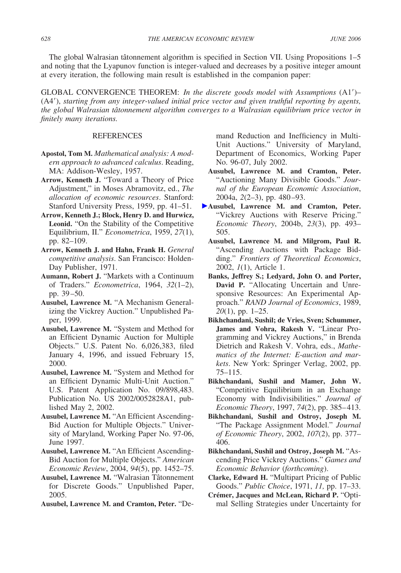The global Walrasian tâtonnement algorithm is specified in Section VII. Using Propositions 1–5 and noting that the Lyapunov function is integer-valued and decreases by a positive integer amount at every iteration, the following main result is established in the companion paper:

GLOBAL CONVERGENCE THEOREM: In the discrete goods model with Assumptions (A1')-(A4-), *starting from any integer-valued initial price vector and given truthful reporting by agents, the global Walrasian tâtonnement algorithm converges to a Walrasian equilibrium price vector in finitely many iterations.*

# **REFERENCES**

- **Apostol, Tom M.** *Mathematical analysis: A modern approach to advanced calculus*. Reading, MA: Addison-Wesley, 1957.
- **Arrow, Kenneth J.** "Toward a Theory of Price Adjustment," in Moses Abramovitz, ed., *The allocation of economic resources*. Stanford: Stanford University Press, 1959, pp. 41–51.
- **Arrow, Kenneth J.; Block, Henry D. and Hurwicz, Leonid.** "On the Stability of the Competitive Equilibrium, II." *Econometrica*, 1959, *27*(1), pp. 82–109.
- **Arrow, Kenneth J. and Hahn, Frank H.** *General competitive analysis*. San Francisco: Holden-Day Publisher, 1971.
- **Aumann, Robert J.** "Markets with a Continuum of Traders." *Econometrica*, 1964, *32*(1–2), pp. 39 –50.
- **Ausubel, Lawrence M.** "A Mechanism Generalizing the Vickrey Auction." Unpublished Paper, 1999.
- **Ausubel, Lawrence M.** "System and Method for an Efficient Dynamic Auction for Multiple Objects." U.S. Patent No. 6,026,383, filed January 4, 1996, and issued February 15, 2000.
- **Ausubel, Lawrence M.** "System and Method for an Efficient Dynamic Multi-Unit Auction." U.S. Patent Application No. 09/898,483. Publication No. US 2002/0052828A1, published May 2, 2002.
- **Ausubel, Lawrence M.** "An Efficient Ascending-Bid Auction for Multiple Objects." University of Maryland, Working Paper No. 97-06, June 1997.
- **Ausubel, Lawrence M.** "An Efficient Ascending-Bid Auction for Multiple Objects." *American Economic Review*, 2004, *94*(5), pp. 1452–75.
- Ausubel, Lawrence M. "Walrasian Tâtonnement for Discrete Goods." Unpublished Paper, 2005.
- **Ausubel, Lawrence M. and Cramton, Peter.** "De-

mand Reduction and Inefficiency in Multi-Unit Auctions." University of Maryland, Department of Economics, Working Paper No. 96-07, July 2002.

- **Ausubel, Lawrence M. and Cramton, Peter.** "Auctioning Many Divisible Goods." *Journal of the European Economic Association*, 2004a, *2*(2–3), pp. 480 –93.
- **Ausubel, Lawrence M. and Cramton, Peter.** "Vickrey Auctions with Reserve Pricing." *Economic Theory*, 2004b, *23*(3), pp. 493– 505.
	- **Ausubel, Lawrence M. and Milgrom, Paul R.** "Ascending Auctions with Package Bidding." *Frontiers of Theoretical Economics*, 2002, *1*(1), Article 1.
	- **Banks, Jeffrey S.; Ledyard, John O. and Porter, David P.** "Allocating Uncertain and Unresponsive Resources: An Experimental Approach." *RAND Journal of Economics*, 1989, *20*(1), pp. 1–25.
	- **Bikhchandani, Sushil; de Vries, Sven; Schummer, James and Vohra, Rakesh V.** "Linear Programming and Vickrey Auctions," in Brenda Dietrich and Rakesh V. Vohra, eds., *Mathematics of the Internet: E-auction and markets*. New York: Springer Verlag, 2002, pp. 75–115.
	- **Bikhchandani, Sushil and Mamer, John W.** "Competitive Equilibrium in an Exchange Economy with Indivisibilities." *Journal of Economic Theory*, 1997, *74*(2), pp. 385– 413.
	- **Bikhchandani, Sushil and Ostroy, Joseph M.** "The Package Assignment Model." *Journal of Economic Theory*, 2002, *107*(2), pp. 377– 406.
	- **Bikhchandani, Sushil and Ostroy, Joseph M.** "Ascending Price Vickrey Auctions." *Games and Economic Behavior* (*forthcoming*).
	- **Clarke, Edward H.** "Multipart Pricing of Public Goods." *Public Choice*, 1971, *11,* pp. 17–33.
	- Crémer, Jacques and McLean, Richard P. "Optimal Selling Strategies under Uncertainty for